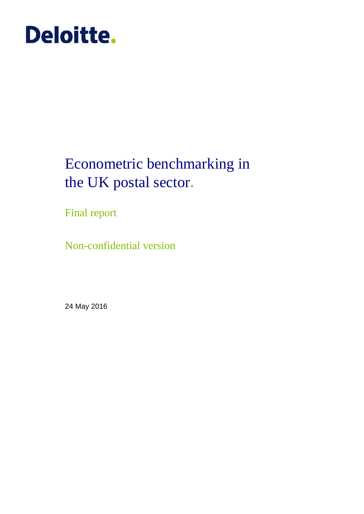# **Deloitte.**

## Econometric benchmarking in the UK postal sector**.**

Final report

Non-confidential version

24 May 2016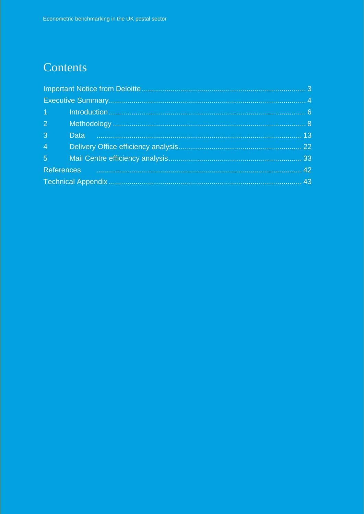## Contents

| 2 <sup>2</sup> |                                                                                                                                                                                                                                |  |
|----------------|--------------------------------------------------------------------------------------------------------------------------------------------------------------------------------------------------------------------------------|--|
| $\overline{3}$ |                                                                                                                                                                                                                                |  |
| $4 \pm 1$      |                                                                                                                                                                                                                                |  |
|                |                                                                                                                                                                                                                                |  |
|                | References 22 and 22 and 22 and 22 and 23 and 24 and 25 and 25 and 25 and 25 and 25 and 26 and 26 and 26 and 26 and 26 and 26 and 27 and 27 and 27 and 27 and 27 and 27 and 27 and 27 and 27 and 27 and 27 and 27 and 27 and 2 |  |
|                |                                                                                                                                                                                                                                |  |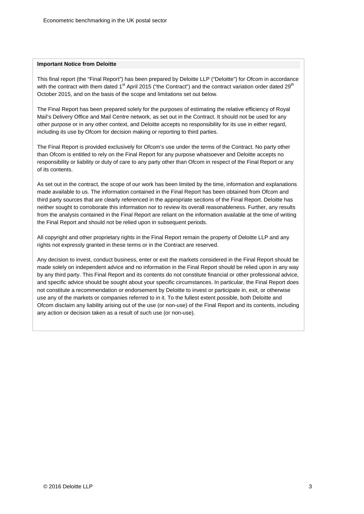#### **Important Notice from Deloitte**

This final report (the "Final Report") has been prepared by Deloitte LLP ("Deloitte") for Ofcom in accordance with the contract with them dated 1<sup>st</sup> April 2015 ("the Contract") and the contract variation order dated 29<sup>th</sup> October 2015, and on the basis of the scope and limitations set out below.

The Final Report has been prepared solely for the purposes of estimating the relative efficiency of Royal Mail's Delivery Office and Mail Centre network, as set out in the Contract. It should not be used for any other purpose or in any other context, and Deloitte accepts no responsibility for its use in either regard, including its use by Ofcom for decision making or reporting to third parties.

The Final Report is provided exclusively for Ofcom's use under the terms of the Contract. No party other than Ofcom is entitled to rely on the Final Report for any purpose whatsoever and Deloitte accepts no responsibility or liability or duty of care to any party other than Ofcom in respect of the Final Report or any of its contents.

As set out in the contract, the scope of our work has been limited by the time, information and explanations made available to us. The information contained in the Final Report has been obtained from Ofcom and third party sources that are clearly referenced in the appropriate sections of the Final Report. Deloitte has neither sought to corroborate this information nor to review its overall reasonableness. Further, any results from the analysis contained in the Final Report are reliant on the information available at the time of writing the Final Report and should not be relied upon in subsequent periods.

All copyright and other proprietary rights in the Final Report remain the property of Deloitte LLP and any rights not expressly granted in these terms or in the Contract are reserved.

Any decision to invest, conduct business, enter or exit the markets considered in the Final Report should be made solely on independent advice and no information in the Final Report should be relied upon in any way by any third party. This Final Report and its contents do not constitute financial or other professional advice, and specific advice should be sought about your specific circumstances. In particular, the Final Report does not constitute a recommendation or endorsement by Deloitte to invest or participate in, exit, or otherwise use any of the markets or companies referred to in it. To the fullest extent possible, both Deloitte and Ofcom disclaim any liability arising out of the use (or non-use) of the Final Report and its contents, including any action or decision taken as a result of such use (or non-use).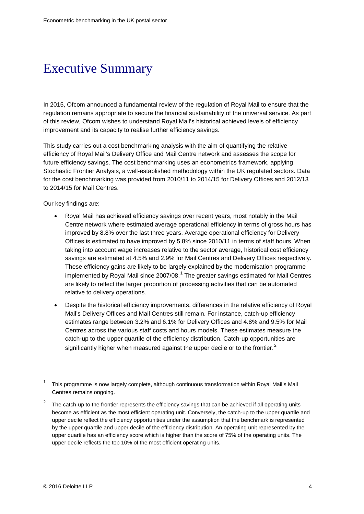## <span id="page-3-0"></span>Executive Summary

In 2015, Ofcom announced a fundamental review of the regulation of Royal Mail to ensure that the regulation remains appropriate to secure the financial sustainability of the universal service. As part of this review, Ofcom wishes to understand Royal Mail's historical achieved levels of efficiency improvement and its capacity to realise further efficiency savings.

This study carries out a cost benchmarking analysis with the aim of quantifying the relative efficiency of Royal Mail's Delivery Office and Mail Centre network and assesses the scope for future efficiency savings. The cost benchmarking uses an econometrics framework, applying Stochastic Frontier Analysis, a well-established methodology within the UK regulated sectors. Data for the cost benchmarking was provided from 2010/11 to 2014/15 for Delivery Offices and 2012/13 to 2014/15 for Mail Centres.

Our key findings are:

- Royal Mail has achieved efficiency savings over recent years, most notably in the Mail Centre network where estimated average operational efficiency in terms of gross hours has improved by 8.8% over the last three years. Average operational efficiency for Delivery Offices is estimated to have improved by 5.8% since 2010/11 in terms of staff hours. When taking into account wage increases relative to the sector average, historical cost efficiency savings are estimated at 4.5% and 2.9% for Mail Centres and Delivery Offices respectively. These efficiency gains are likely to be largely explained by the modernisation programme implemented by Royal Mail since 2007/08.<sup>[1](#page-3-1)</sup> The greater savings estimated for Mail Centres are likely to reflect the larger proportion of processing activities that can be automated relative to delivery operations.
- Despite the historical efficiency improvements, differences in the relative efficiency of Royal Mail's Delivery Offices and Mail Centres still remain. For instance, catch-up efficiency estimates range between 3.2% and 6.1% for Delivery Offices and 4.8% and 9.5% for Mail Centres across the various staff costs and hours models. These estimates measure the catch-up to the upper quartile of the efficiency distribution. Catch-up opportunities are significantly higher when measured against the upper decile or to the frontier.<sup>[2](#page-3-2)</sup>

<span id="page-3-1"></span><sup>1</sup> This programme is now largely complete, although continuous transformation within Royal Mail's Mail Centres remains ongoing.

<span id="page-3-2"></span><sup>&</sup>lt;sup>2</sup> The catch-up to the frontier represents the efficiency savings that can be achieved if all operating units become as efficient as the most efficient operating unit. Conversely, the catch-up to the upper quartile and upper decile reflect the efficiency opportunities under the assumption that the benchmark is represented by the upper quartile and upper decile of the efficiency distribution. An operating unit represented by the upper quartile has an efficiency score which is higher than the score of 75% of the operating units. The upper decile reflects the top 10% of the most efficient operating units.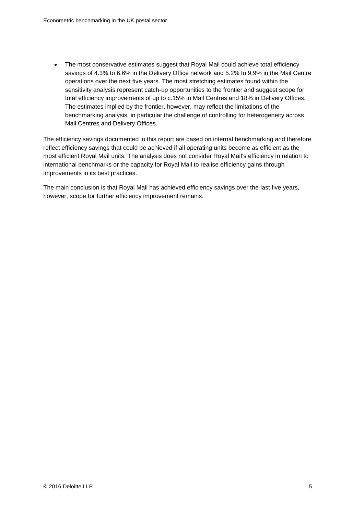• The most conservative estimates suggest that Royal Mail could achieve total efficiency savings of 4.3% to 6.6% in the Delivery Office network and 5.2% to 9.9% in the Mail Centre operations over the next five years. The most stretching estimates found within the sensitivity analysis represent catch-up opportunities to the frontier and suggest scope for total efficiency improvements of up to c.15% in Mail Centres and 18% in Delivery Offices. The estimates implied by the frontier, however, may reflect the limitations of the benchmarking analysis, in particular the challenge of controlling for heterogeneity across Mail Centres and Delivery Offices.

The efficiency savings documented in this report are based on internal benchmarking and therefore reflect efficiency savings that could be achieved if all operating units become as efficient as the most efficient Royal Mail units. The analysis does not consider Royal Mail's efficiency in relation to international benchmarks or the capacity for Royal Mail to realise efficiency gains through improvements in its best practices.

The main conclusion is that Royal Mail has achieved efficiency savings over the last five years, however, scope for further efficiency improvement remains.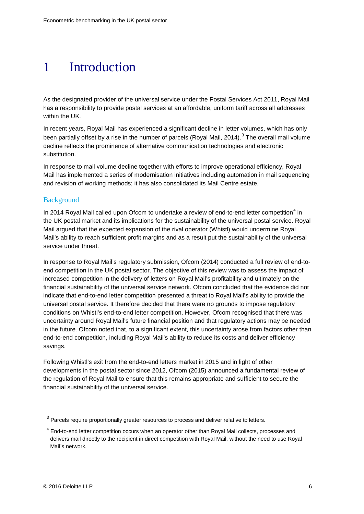## <span id="page-5-0"></span>1 Introduction

As the designated provider of the universal service under the Postal Services Act 2011, Royal Mail has a responsibility to provide postal services at an affordable, uniform tariff across all addresses within the UK.

In recent years, Royal Mail has experienced a significant decline in letter volumes, which has only been partially offset by a rise in the number of parcels (Royal Mail, 2014).<sup>[3](#page-5-1)</sup> The overall mail volume decline reflects the prominence of alternative communication technologies and electronic substitution.

In response to mail volume decline together with efforts to improve operational efficiency, Royal Mail has implemented a series of modernisation initiatives including automation in mail sequencing and revision of working methods; it has also consolidated its Mail Centre estate.

#### **Background**

In 201[4](#page-5-2) Royal Mail called upon Ofcom to undertake a review of end-to-end letter competition $4$  in the UK postal market and its implications for the sustainability of the universal postal service. Royal Mail argued that the expected expansion of the rival operator (Whistl) would undermine Royal Mail's ability to reach sufficient profit margins and as a result put the sustainability of the universal service under threat.

In response to Royal Mail's regulatory submission, Ofcom (2014) conducted a full review of end-toend competition in the UK postal sector. The objective of this review was to assess the impact of increased competition in the delivery of letters on Royal Mail's profitability and ultimately on the financial sustainability of the universal service network. Ofcom concluded that the evidence did not indicate that end-to-end letter competition presented a threat to Royal Mail's ability to provide the universal postal service. It therefore decided that there were no grounds to impose regulatory conditions on Whistl's end-to-end letter competition. However, Ofcom recognised that there was uncertainty around Royal Mail's future financial position and that regulatory actions may be needed in the future. Ofcom noted that, to a significant extent, this uncertainty arose from factors other than end-to-end competition, including Royal Mail's ability to reduce its costs and deliver efficiency savings.

Following Whistl's exit from the end-to-end letters market in 2015 and in light of other developments in the postal sector since 2012, Ofcom (2015) announced a fundamental review of the regulation of Royal Mail to ensure that this remains appropriate and sufficient to secure the financial sustainability of the universal service.

<span id="page-5-1"></span><sup>&</sup>lt;sup>3</sup> Parcels require proportionally greater resources to process and deliver relative to letters.

<span id="page-5-2"></span><sup>&</sup>lt;sup>4</sup> End-to-end letter competition occurs when an operator other than Royal Mail collects, processes and delivers mail directly to the recipient in direct competition with Royal Mail, without the need to use Royal Mail's network.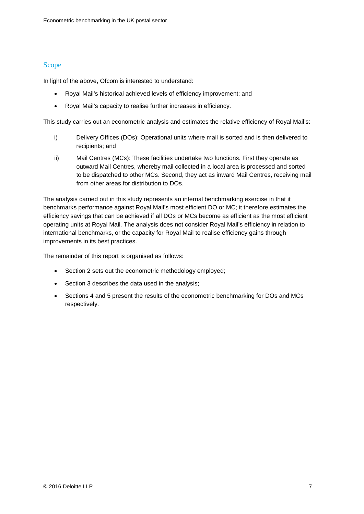#### Scope

In light of the above, Ofcom is interested to understand:

- Royal Mail's historical achieved levels of efficiency improvement; and
- Royal Mail's capacity to realise further increases in efficiency.

This study carries out an econometric analysis and estimates the relative efficiency of Royal Mail's:

- i) Delivery Offices (DOs): Operational units where mail is sorted and is then delivered to recipients; and
- ii) Mail Centres (MCs): These facilities undertake two functions. First they operate as outward Mail Centres, whereby mail collected in a local area is processed and sorted to be dispatched to other MCs. Second, they act as inward Mail Centres, receiving mail from other areas for distribution to DOs.

The analysis carried out in this study represents an internal benchmarking exercise in that it benchmarks performance against Royal Mail's most efficient DO or MC; it therefore estimates the efficiency savings that can be achieved if all DOs or MCs become as efficient as the most efficient operating units at Royal Mail. The analysis does not consider Royal Mail's efficiency in relation to international benchmarks, or the capacity for Royal Mail to realise efficiency gains through improvements in its best practices.

The remainder of this report is organised as follows:

- Section 2 sets out the econometric methodology employed;
- Section 3 describes the data used in the analysis;
- Sections 4 and 5 present the results of the econometric benchmarking for DOs and MCs respectively.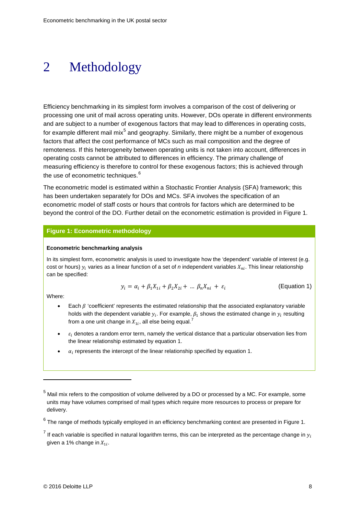## <span id="page-7-0"></span>2 Methodology

Efficiency benchmarking in its simplest form involves a comparison of the cost of delivering or processing one unit of mail across operating units. However, DOs operate in different environments and are subject to a number of exogenous factors that may lead to differences in operating costs, for example different mail  $mix<sup>5</sup>$  $mix<sup>5</sup>$  $mix<sup>5</sup>$  and geography. Similarly, there might be a number of exogenous factors that affect the cost performance of MCs such as mail composition and the degree of remoteness. If this heterogeneity between operating units is not taken into account, differences in operating costs cannot be attributed to differences in efficiency. The primary challenge of measuring efficiency is therefore to control for these exogenous factors; this is achieved through the use of econometric techniques.<sup>[6](#page-7-3)</sup>

The econometric model is estimated within a Stochastic Frontier Analysis (SFA) framework; this has been undertaken separately for DOs and MCs. SFA involves the specification of an econometric model of staff costs or hours that controls for factors which are determined to be beyond the control of the DO. Further detail on the econometric estimation is provided in [Figure 1.](#page-7-1)

#### <span id="page-7-1"></span>**Figure 1: Econometric methodology**

#### **Econometric benchmarking analysis**

In its simplest form, econometric analysis is used to investigate how the 'dependent' variable of interest (e.g. cost or hours)  $y_i$  varies as a linear function of a set of *n* independent variables  $X_{ni}$ . This linear relationship can be specified:

$$
y_i = \alpha_i + \beta_1 X_{1i} + \beta_2 X_{2i} + \dots \beta_n X_{ni} + \varepsilon_i
$$
 (Equation 1)

Where:

- Each  $\beta$  'coefficient' represents the estimated relationship that the associated explanatory variable holds with the dependent variable  $y_i$ . For example,  $\beta_1$  shows the estimated change in  $y_i$  resulting from a one unit change in  $X_{1i}$ , all else being equal.<sup>[7](#page-7-4)</sup>
- $\varepsilon_i$  denotes a random error term, namely the vertical distance that a particular observation lies from the linear relationship estimated by equation 1.
- $\alpha_i$  represents the intercept of the linear relationship specified by equation 1.

<span id="page-7-2"></span><sup>5</sup> Mail mix refers to the composition of volume delivered by a DO or processed by a MC. For example, some units may have volumes comprised of mail types which require more resources to process or prepare for delivery.

<span id="page-7-3"></span> $6$  The range of methods typically employed in an efficiency benchmarking context are presented in Figure 1.

<span id="page-7-4"></span><sup>&</sup>lt;sup>7</sup> If each variable is specified in natural logarithm terms, this can be interpreted as the percentage change in  $y_i$ given a 1% change in  $X_{1i}$ .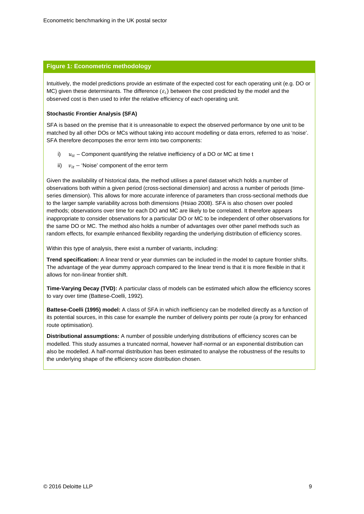#### **Figure 1: Econometric methodology**

Intuitively, the model predictions provide an estimate of the expected cost for each operating unit (e.g. DO or MC) given these determinants. The difference  $(\varepsilon_i)$  between the cost predicted by the model and the observed cost is then used to infer the relative efficiency of each operating unit.

#### **Stochastic Frontier Analysis (SFA)**

SFA is based on the premise that it is unreasonable to expect the observed performance by one unit to be matched by all other DOs or MCs without taking into account modelling or data errors, referred to as 'noise'. SFA therefore decomposes the error term into two components:

- i)  $u_{it}$  Component quantifying the relative inefficiency of a DO or MC at time t
- ii)  $v_{it}$  'Noise' component of the error term

Given the availability of historical data, the method utilises a panel dataset which holds a number of observations both within a given period (cross-sectional dimension) and across a number of periods (timeseries dimension). This allows for more accurate inference of parameters than cross-sectional methods due to the larger sample variability across both dimensions (Hsiao 2008). SFA is also chosen over pooled methods; observations over time for each DO and MC are likely to be correlated. It therefore appears inappropriate to consider observations for a particular DO or MC to be independent of other observations for the same DO or MC. The method also holds a number of advantages over other panel methods such as random effects, for example enhanced flexibility regarding the underlying distribution of efficiency scores.

Within this type of analysis, there exist a number of variants, including:

**Trend specification:** A linear trend or year dummies can be included in the model to capture frontier shifts. The advantage of the year dummy approach compared to the linear trend is that it is more flexible in that it allows for non-linear frontier shift.

**Time-Varying Decay (TVD):** A particular class of models can be estimated which allow the efficiency scores to vary over time (Battese-Coelli, 1992).

**Battese-Coelli (1995) model:** A class of SFA in which inefficiency can be modelled directly as a function of its potential sources, in this case for example the number of delivery points per route (a proxy for enhanced route optimisation).

**Distributional assumptions:** A number of possible underlying distributions of efficiency scores can be modelled. This study assumes a truncated normal, however half-normal or an exponential distribution can also be modelled. A half-normal distribution has been estimated to analyse the robustness of the results to the underlying shape of the efficiency score distribution chosen.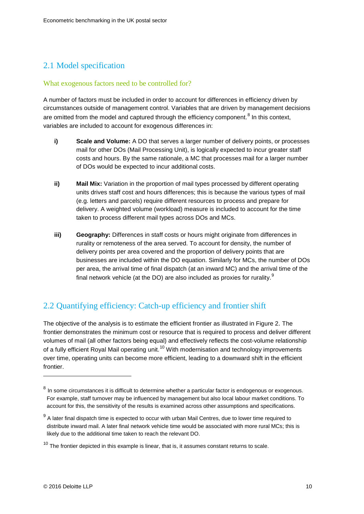### 2.1 Model specification

#### What exogenous factors need to be controlled for?

A number of factors must be included in order to account for differences in efficiency driven by circumstances outside of management control. Variables that are driven by management decisions are omitted from the model and captured through the efficiency component.<sup>[8](#page-9-0)</sup> In this context, variables are included to account for exogenous differences in:

- **i) Scale and Volume:** A DO that serves a larger number of delivery points, or processes mail for other DOs (Mail Processing Unit), is logically expected to incur greater staff costs and hours. By the same rationale, a MC that processes mail for a larger number of DOs would be expected to incur additional costs.
- **ii) Mail Mix:** Variation in the proportion of mail types processed by different operating units drives staff cost and hours differences; this is because the various types of mail (e.g. letters and parcels) require different resources to process and prepare for delivery. A weighted volume (workload) measure is included to account for the time taken to process different mail types across DOs and MCs.
- **iii) Geography:** Differences in staff costs or hours might originate from differences in rurality or remoteness of the area served. To account for density, the number of delivery points per area covered and the proportion of delivery points that are businesses are included within the DO equation. Similarly for MCs, the number of DOs per area, the arrival time of final dispatch (at an inward MC) and the arrival time of the final network vehicle (at the DO) are also included as proxies for rurality. $^{\textrm{\textregistered}}$

### 2.2 Quantifying efficiency: Catch-up efficiency and frontier shift

The objective of the analysis is to estimate the efficient frontier as illustrated in Figure 2. The frontier demonstrates the minimum cost or resource that is required to process and deliver different volumes of mail (all other factors being equal) and effectively reflects the cost-volume relationship of a fully efficient Royal Mail operating unit.<sup>[10](#page-9-2)</sup> With modernisation and technology improvements over time, operating units can become more efficient, leading to a downward shift in the efficient frontier.

<span id="page-9-0"></span><sup>&</sup>lt;sup>8</sup> In some circumstances it is difficult to determine whether a particular factor is endogenous or exogenous. For example, staff turnover may be influenced by management but also local labour market conditions. To account for this, the sensitivity of the results is examined across other assumptions and specifications.

<span id="page-9-1"></span> $9$  A later final dispatch time is expected to occur with urban Mail Centres, due to lower time required to distribute inward mail. A later final network vehicle time would be associated with more rural MCs; this is likely due to the additional time taken to reach the relevant DO.

<span id="page-9-2"></span> $10$  The frontier depicted in this example is linear, that is, it assumes constant returns to scale.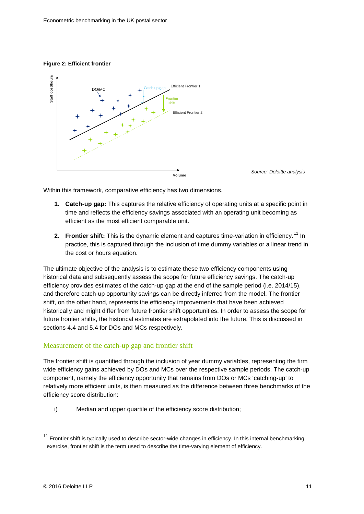#### **Figure 2: Efficient frontier**



Within this framework, comparative efficiency has two dimensions.

- **1. Catch-up gap:** This captures the relative efficiency of operating units at a specific point in time and reflects the efficiency savings associated with an operating unit becoming as efficient as the most efficient comparable unit.
- **2. Frontier shift:** This is the dynamic element and captures time-variation in efficiency.<sup>[11](#page-10-0)</sup> In practice, this is captured through the inclusion of time dummy variables or a linear trend in the cost or hours equation.

The ultimate objective of the analysis is to estimate these two efficiency components using historical data and subsequently assess the scope for future efficiency savings. The catch-up efficiency provides estimates of the catch-up gap at the end of the sample period (i.e. 2014/15), and therefore catch-up opportunity savings can be directly inferred from the model. The frontier shift, on the other hand, represents the efficiency improvements that have been achieved historically and might differ from future frontier shift opportunities. In order to assess the scope for future frontier shifts, the historical estimates are extrapolated into the future. This is discussed in sections [4.4](#page-26-0) and [5.4](#page-37-0) for DOs and MCs respectively.

#### Measurement of the catch-up gap and frontier shift

The frontier shift is quantified through the inclusion of year dummy variables, representing the firm wide efficiency gains achieved by DOs and MCs over the respective sample periods. The catch-up component, namely the efficiency opportunity that remains from DOs or MCs 'catching-up' to relatively more efficient units, is then measured as the difference between three benchmarks of the efficiency score distribution:

i) Median and upper quartile of the efficiency score distribution;

<span id="page-10-0"></span> $11$  Frontier shift is typically used to describe sector-wide changes in efficiency. In this internal benchmarking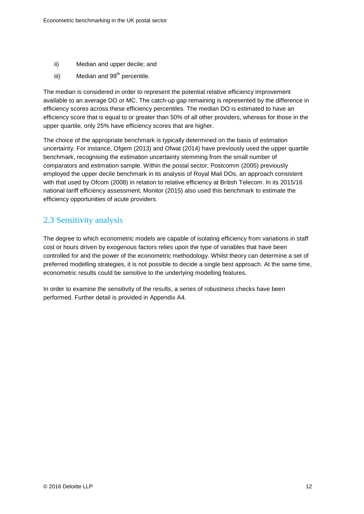- ii) Median and upper decile; and
- iii) Median and 99<sup>th</sup> percentile.

The median is considered in order to represent the potential relative efficiency improvement available to an average DO or MC. The catch-up gap remaining is represented by the difference in efficiency scores across these efficiency percentiles. The median DO is estimated to have an efficiency score that is equal to or greater than 50% of all other providers, whereas for those in the upper quartile, only 25% have efficiency scores that are higher.

The choice of the appropriate benchmark is typically determined on the basis of estimation uncertainty. For instance, Ofgem (2013) and Ofwat (2014) have previously used the upper quartile benchmark, recognising the estimation uncertainty stemming from the small number of comparators and estimation sample. Within the postal sector, Postcomm (2005) previously employed the upper decile benchmark in its analysis of Royal Mail DOs, an approach consistent with that used by Ofcom (2008) in relation to relative efficiency at British Telecom. In its 2015/16 national tariff efficiency assessment, Monitor (2015) also used this benchmark to estimate the efficiency opportunities of acute providers.

### 2.3 Sensitivity analysis

The degree to which econometric models are capable of isolating efficiency from variations in staff cost or hours driven by exogenous factors relies upon the type of variables that have been controlled for and the power of the econometric methodology. Whilst theory can determine a set of preferred modelling strategies, it is not possible to decide a single best approach. At the same time, econometric results could be sensitive to the underlying modelling features.

In order to examine the sensitivity of the results, a series of robustness checks have been performed. Further detail is provided in Appendix A4.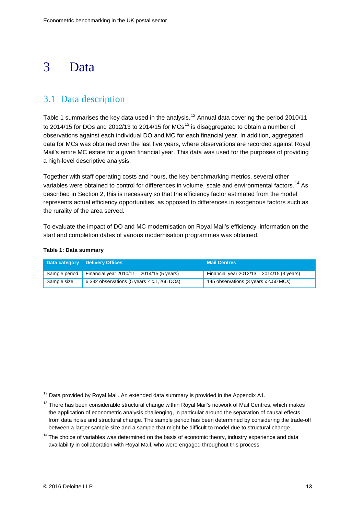## <span id="page-12-0"></span>3 Data

## 3.1 Data description

[Table](#page-12-1) 1 summarises the key data used in the analysis.<sup>[12](#page-12-2)</sup> Annual data covering the period 2010/11 to 2014/15 for DOs and 2012/[13](#page-12-3) to 2014/15 for MCs<sup>13</sup> is disaggregated to obtain a number of observations against each individual DO and MC for each financial year. In addition, aggregated data for MCs was obtained over the last five years, where observations are recorded against Royal Mail's entire MC estate for a given financial year. This data was used for the purposes of providing a high-level descriptive analysis.

Together with staff operating costs and hours, the key benchmarking metrics, several other variables were obtained to control for differences in volume, scale and environmental factors.<sup>[14](#page-12-4)</sup> As described in Section 2, this is necessary so that the efficiency factor estimated from the model represents actual efficiency opportunities, as opposed to differences in exogenous factors such as the rurality of the area served.

To evaluate the impact of DO and MC modernisation on Royal Mail's efficiency, information on the start and completion dates of various modernisation programmes was obtained.

| Data category | <b>Delivery Offices</b>                           | <b>Mail Centres</b>                          |
|---------------|---------------------------------------------------|----------------------------------------------|
| Sample period | Financial year $2010/11 - 2014/15$ (5 years)      | Financial year $2012/13 - 2014/15$ (3 years) |
| Sample size   | 6,332 observations (5 years $\times$ c.1,266 DOs) | 145 observations (3 years x c.50 MCs)        |

#### <span id="page-12-1"></span>**Table 1: Data summary**

<span id="page-12-2"></span> $12$  Data provided by Royal Mail. An extended data summary is provided in the Appendix A1.

<span id="page-12-3"></span><sup>&</sup>lt;sup>13</sup> There has been considerable structural change within Royal Mail's network of Mail Centres, which makes the application of econometric analysis challenging, in particular around the separation of causal effects from data noise and structural change. The sample period has been determined by considering the trade-off between a larger sample size and a sample that might be difficult to model due to structural change.

<span id="page-12-4"></span> $14$  The choice of variables was determined on the basis of economic theory, industry experience and data availability in collaboration with Royal Mail, who were engaged throughout this process.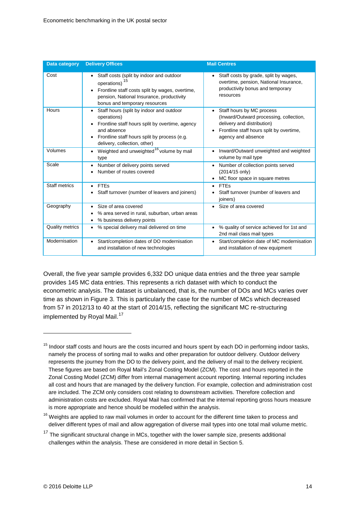| <b>Data category</b>   | <b>Delivery Offices</b>                                                                                                                                                                                                          | <b>Mail Centres</b>                                                                                                                                                               |
|------------------------|----------------------------------------------------------------------------------------------------------------------------------------------------------------------------------------------------------------------------------|-----------------------------------------------------------------------------------------------------------------------------------------------------------------------------------|
| Cost                   | Staff costs (split by indoor and outdoor<br>$\bullet$<br>operations) <sup>15</sup><br>Frontline staff costs split by wages, overtime,<br>$\bullet$<br>pension, National Insurance, productivity<br>bonus and temporary resources | Staff costs by grade, split by wages,<br>overtime, pension, National Insurance,<br>productivity bonus and temporary<br>resources                                                  |
| Hours                  | Staff hours (split by indoor and outdoor<br>٠<br>operations)<br>Frontline staff hours split by overtime, agency<br>$\bullet$<br>and absence<br>Frontline staff hours split by process (e.g.<br>٠<br>delivery, collection, other) | Staff hours by MC process<br>$\bullet$<br>(Inward/Outward processing, collection,<br>delivery and distribution)<br>Frontline staff hours split by overtime,<br>agency and absence |
| Volumes                | Weighted and unweighted <sup>16</sup> volume by mail<br>$\bullet$<br>type                                                                                                                                                        | Inward/Outward unweighted and weighted<br>volume by mail type                                                                                                                     |
| Scale                  | Number of delivery points served<br>$\bullet$<br>Number of routes covered                                                                                                                                                        | Number of collection points served<br>(2014/15 only)<br>MC floor space in square metres<br>٠                                                                                      |
| Staff metrics          | <b>FTEs</b><br>$\bullet$<br>Staff turnover (number of leavers and joiners)                                                                                                                                                       | $\bullet$ FTFs<br>Staff turnover (number of leavers and<br>joiners)                                                                                                               |
| Geography              | Size of area covered<br>$\bullet$<br>% area served in rural, suburban, urban areas<br>% business delivery points<br>٠                                                                                                            | Size of area covered<br>$\bullet$                                                                                                                                                 |
| <b>Quality metrics</b> | % special delivery mail delivered on time<br>٠                                                                                                                                                                                   | % quality of service achieved for 1st and<br>2nd mail class mail types                                                                                                            |
| Modernisation          | Start/completion dates of DO modernisation<br>$\bullet$<br>and installation of new technologies                                                                                                                                  | Start/completion date of MC modernisation<br>and installation of new equipment                                                                                                    |

Overall, the five year sample provides 6,332 DO unique data entries and the three year sample provides 145 MC data entries. This represents a rich dataset with which to conduct the econometric analysis. The dataset is unbalanced, that is, the number of DOs and MCs varies over time as shown in [Figure 3.](#page-14-0) This is particularly the case for the number of MCs which decreased from 57 in 2012/13 to 40 at the start of 2014/15, reflecting the significant MC re-structuring implemented by Royal Mail.<sup>[17](#page-13-2)</sup>

<span id="page-13-0"></span><sup>&</sup>lt;sup>15</sup> Indoor staff costs and hours are the costs incurred and hours spent by each DO in performing indoor tasks, namely the process of sorting mail to walks and other preparation for outdoor delivery. Outdoor delivery represents the journey from the DO to the delivery point, and the delivery of mail to the delivery recipient. These figures are based on Royal Mail's Zonal Costing Model (ZCM). The cost and hours reported in the Zonal Costing Model (ZCM) differ from internal management account reporting. Internal reporting includes all cost and hours that are managed by the delivery function. For example, collection and administration cost are included. The ZCM only considers cost relating to downstream activities. Therefore collection and administration costs are excluded. Royal Mail has confirmed that the internal reporting gross hours measure is more appropriate and hence should be modelled within the analysis.

<span id="page-13-1"></span><sup>&</sup>lt;sup>16</sup> Weights are applied to raw mail volumes in order to account for the different time taken to process and deliver different types of mail and allow aggregation of diverse mail types into one total mail volume metric.

<span id="page-13-2"></span> $17$  The significant structural change in MCs, together with the lower sample size, presents additional challenges within the analysis. These are considered in more detail in Section 5.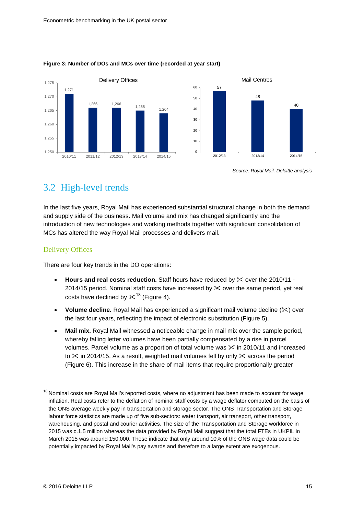

#### <span id="page-14-0"></span>**Figure 3: Number of DOs and MCs over time (recorded at year start)**

*Source: Royal Mail, Deloitte analysis*

### 3.2 High-level trends

In the last five years, Royal Mail has experienced substantial structural change in both the demand and supply side of the business. Mail volume and mix has changed significantly and the introduction of new technologies and working methods together with significant consolidation of MCs has altered the way Royal Mail processes and delivers mail.

#### Delivery Offices

There are four key trends in the DO operations:

- Hours and real costs reduction. Staff hours have reduced by  $\times$  over the 2010/11 -2014/15 period. Nominal staff costs have increased by  $\&$  over the same period, yet real costs have declined by  $\times$ <sup>[18](#page-14-1)</sup> [\(Figure 4\)](#page-15-0).
- **Volume decline.** Royal Mail has experienced a significant mail volume decline ( $\angle$ ) over the last four years, reflecting the impact of electronic substitution [\(Figure 5\)](#page-15-1).
- **Mail mix.** Royal Mail witnessed a noticeable change in mail mix over the sample period, whereby falling letter volumes have been partially compensated by a rise in parcel volumes. Parcel volume as a proportion of total volume was  $\&$  in 2010/11 and increased to  $\times$  in 2014/15. As a result, weighted mail volumes fell by only  $\times$  across the period [\(Figure 6\)](#page-15-2). This increase in the share of mail items that require proportionally greater

<span id="page-14-1"></span><sup>&</sup>lt;sup>18</sup> Nominal costs are Royal Mail's reported costs, where no adjustment has been made to account for wage inflation. Real costs refer to the deflation of nominal staff costs by a wage deflator computed on the basis of the ONS average weekly pay in transportation and storage sector. The ONS Transportation and Storage labour force statistics are made up of five sub-sectors: water transport, air transport, other transport, warehousing, and postal and courier activities. The size of the Transportation and Storage workforce in 2015 was c.1.5 million whereas the data provided by Royal Mail suggest that the total FTEs in UKPIL in March 2015 was around 150,000. These indicate that only around 10% of the ONS wage data could be potentially impacted by Royal Mail's pay awards and therefore to a large extent are exogenous.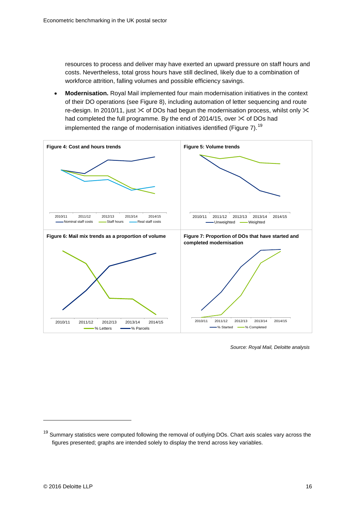resources to process and deliver may have exerted an upward pressure on staff hours and costs. Nevertheless, total gross hours have still declined, likely due to a combination of workforce attrition, falling volumes and possible efficiency savings.

<span id="page-15-1"></span>• **Modernisation.** Royal Mail implemented four main modernisation initiatives in the context of their DO operations (see [Figure 8\)](#page-16-0), including automation of letter sequencing and route re-design. In 2010/11, just  $\times$  of DOs had begun the modernisation process, whilst only  $\times$ had completed the full programme. By the end of 2014/15, over  $\times$  of DOs had implemented the range of modernisation initiatives identified [\(Figure 7\)](#page-15-3).<sup>[19](#page-15-4)</sup>

<span id="page-15-2"></span><span id="page-15-0"></span>

<span id="page-15-3"></span>*Source: Royal Mail, Deloitte analysis*

<span id="page-15-4"></span><sup>&</sup>lt;sup>19</sup> Summary statistics were computed following the removal of outlying DOs. Chart axis scales vary across the figures presented; graphs are intended solely to display the trend across key variables.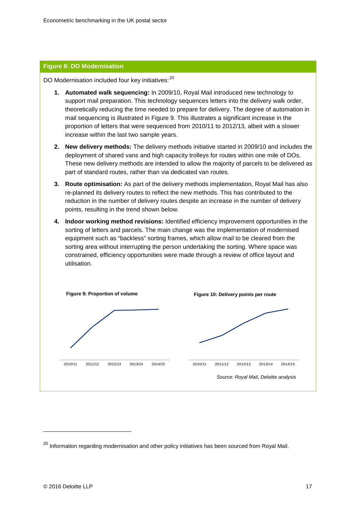#### <span id="page-16-0"></span>**Figure 8: DO Modernisation**

DO Modernisation included four key initiatives:<sup>[20](#page-16-1)</sup>

- **1. Automated walk sequencing:** In 2009/10, Royal Mail introduced new technology to support mail preparation. This technology sequences letters into the delivery walk order, theoretically reducing the time needed to prepare for delivery. The degree of automation in mail sequencing is illustrated in Figure 9. This illustrates a significant increase in the proportion of letters that were sequenced from 2010/11 to 2012/13, albeit with a slower increase within the last two sample years.
- **2. New delivery methods:** The delivery methods initiative started in 2009/10 and includes the deployment of shared vans and high capacity trolleys for routes within one mile of DOs. These new delivery methods are intended to allow the majority of parcels to be delivered as part of standard routes, rather than via dedicated van routes.
- **3. Route optimisation:** As part of the delivery methods implementation, Royal Mail has also re-planned its delivery routes to reflect the new methods. This has contributed to the reduction in the number of delivery routes despite an increase in the number of delivery points, resulting in the trend shown below.
- **4. Indoor working method revisions:** Identified efficiency improvement opportunities in the sorting of letters and parcels. The main change was the implementation of modernised equipment such as "backless" sorting frames, which allow mail to be cleared from the sorting area without interrupting the person undertaking the sorting. Where space was constrained, efficiency opportunities were made through a review of office layout and utilisation.



<span id="page-16-1"></span> $^{20}$  Information regarding modernisation and other policy initiatives has been sourced from Royal Mail.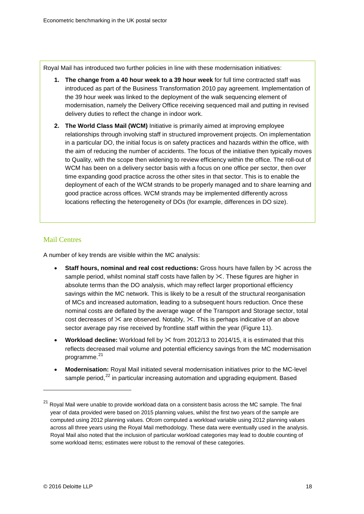Royal Mail has introduced two further policies in line with these modernisation initiatives:

- **1. The change from a 40 hour week to a 39 hour week** for full time contracted staff was introduced as part of the Business Transformation 2010 pay agreement. Implementation of the 39 hour week was linked to the deployment of the walk sequencing element of modernisation, namely the Delivery Office receiving sequenced mail and putting in revised delivery duties to reflect the change in indoor work.
- **2. The World Class Mail (WCM)** Initiative is primarily aimed at improving employee relationships through involving staff in structured improvement projects. On implementation in a particular DO, the initial focus is on safety practices and hazards within the office, with the aim of reducing the number of accidents. The focus of the initiative then typically moves to Quality, with the scope then widening to review efficiency within the office. The roll-out of WCM has been on a delivery sector basis with a focus on one office per sector, then over time expanding good practice across the other sites in that sector. This is to enable the deployment of each of the WCM strands to be properly managed and to share learning and good practice across offices. WCM strands may be implemented differently across locations reflecting the heterogeneity of DOs (for example, differences in DO size).

#### Mail Centres

A number of key trends are visible within the MC analysis:

- **Staff hours, nominal and real cost reductions:** Gross hours have fallen by  $\times$  across the sample period, whilst nominal staff costs have fallen by  $\times$ . These figures are higher in absolute terms than the DO analysis, which may reflect larger proportional efficiency savings within the MC network. This is likely to be a result of the structural reorganisation of MCs and increased automation, leading to a subsequent hours reduction. Once these nominal costs are deflated by the average wage of the Transport and Storage sector, total cost decreases of  $\times$  are observed. Notably,  $\times$ . This is perhaps indicative of an above sector average pay rise received by frontline staff within the year [\(Figure 11\)](#page-18-0).
- **Workload decline:** Workload fell by from 2012/13 to 2014/15, it is estimated that this reflects decreased mail volume and potential efficiency savings from the MC modernisation programme. [21](#page-17-0)
- **Modernisation:** Royal Mail initiated several modernisation initiatives prior to the MC-level sample period,<sup>[22](#page-17-1)</sup> in particular increasing automation and upgrading equipment. Based

<span id="page-17-1"></span><span id="page-17-0"></span> $21$  Roval Mail were unable to provide workload data on a consistent basis across the MC sample. The final year of data provided were based on 2015 planning values, whilst the first two years of the sample are computed using 2012 planning values. Ofcom computed a workload variable using 2012 planning values across all three years using the Royal Mail methodology. These data were eventually used in the analysis. Royal Mail also noted that the inclusion of particular workload categories may lead to double counting of some workload items; estimates were robust to the removal of these categories.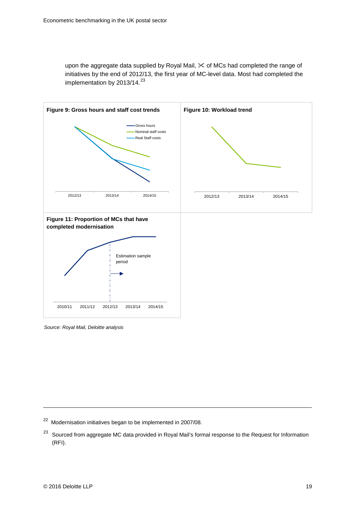upon the aggregate data supplied by Royal Mail,  $\&$  of MCs had completed the range of initiatives by the end of 2012/13, the first year of MC-level data. Most had completed the implementation by 2013/14.<sup>[23](#page-18-1)</sup>

<span id="page-18-0"></span>

*Source: Royal Mail, Deloitte analysis*

<sup>22</sup> Modernisation initiatives began to be implemented in 2007/08.

<span id="page-18-1"></span><sup>&</sup>lt;sup>23</sup> Sourced from aggregate MC data provided in Royal Mail's formal response to the Request for Information (RFI).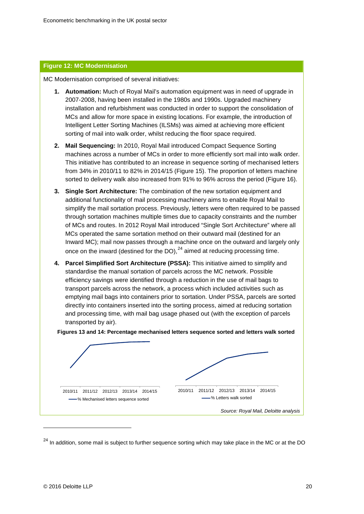#### **Figure 12: MC Modernisation**

MC Modernisation comprised of several initiatives:

- **1. Automation:** Much of Royal Mail's automation equipment was in need of upgrade in 2007-2008, having been installed in the 1980s and 1990s. Upgraded machinery installation and refurbishment was conducted in order to support the consolidation of MCs and allow for more space in existing locations. For example, the introduction of Intelligent Letter Sorting Machines (ILSMs) was aimed at achieving more efficient sorting of mail into walk order, whilst reducing the floor space required.
- **2. Mail Sequencing:** In 2010, Royal Mail introduced Compact Sequence Sorting machines across a number of MCs in order to more efficiently sort mail into walk order. This initiative has contributed to an increase in sequence sorting of mechanised letters from 34% in 2010/11 to 82% in 2014/15 (Figure 15). The proportion of letters machine sorted to delivery walk also increased from 91% to 96% across the period (Figure 16).
- **3. Single Sort Architecture:** The combination of the new sortation equipment and additional functionality of mail processing machinery aims to enable Royal Mail to simplify the mail sortation process. Previously, letters were often required to be passed through sortation machines multiple times due to capacity constraints and the number of MCs and routes. In 2012 Royal Mail introduced "Single Sort Architecture" where all MCs operated the same sortation method on their outward mail (destined for an Inward MC); mail now passes through a machine once on the outward and largely only once on the inward (destined for the DO), $^{24}$  $^{24}$  $^{24}$  aimed at reducing processing time.
- **4. Parcel Simplified Sort Architecture (PSSA):** This initiative aimed to simplify and standardise the manual sortation of parcels across the MC network. Possible efficiency savings were identified through a reduction in the use of mail bags to transport parcels across the network, a process which included activities such as emptying mail bags into containers prior to sortation. Under PSSA, parcels are sorted directly into containers inserted into the sorting process, aimed at reducing sortation and processing time, with mail bag usage phased out (with the exception of parcels transported by air).





<span id="page-19-0"></span><sup>&</sup>lt;sup>24</sup> In addition, some mail is subject to further sequence sorting which may take place in the MC or at the DO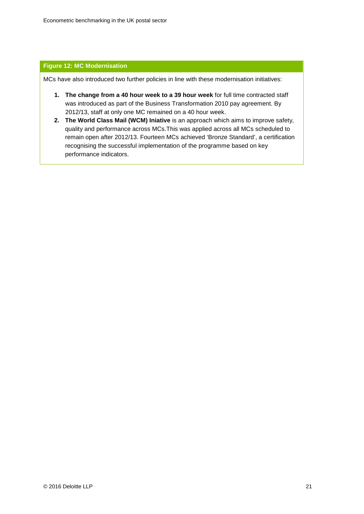#### **Figure 12: MC Modernisation**

MCs have also introduced two further policies in line with these modernisation initiatives:

- **1. The change from a 40 hour week to a 39 hour week** for full time contracted staff was introduced as part of the Business Transformation 2010 pay agreement. By 2012/13, staff at only one MC remained on a 40 hour week.
- **2. The World Class Mail (WCM) Iniative** is an approach which aims to improve safety, quality and performance across MCs.This was applied across all MCs scheduled to remain open after 2012/13. Fourteen MCs achieved 'Bronze Standard', a certification recognising the successful implementation of the programme based on key performance indicators.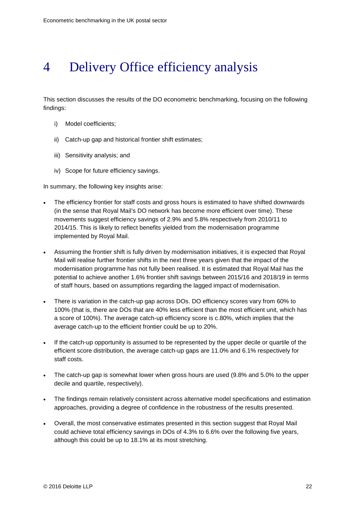## <span id="page-21-0"></span>4 Delivery Office efficiency analysis

This section discusses the results of the DO econometric benchmarking, focusing on the following findings:

- i) Model coefficients;
- ii) Catch-up gap and historical frontier shift estimates;
- iii) Sensitivity analysis; and
- iv) Scope for future efficiency savings.

In summary, the following key insights arise:

- The efficiency frontier for staff costs and gross hours is estimated to have shifted downwards (in the sense that Royal Mail's DO network has become more efficient over time). These movements suggest efficiency savings of 2.9% and 5.8% respectively from 2010/11 to 2014/15. This is likely to reflect benefits yielded from the modernisation programme implemented by Royal Mail.
- Assuming the frontier shift is fully driven by modernisation initiatives, it is expected that Royal Mail will realise further frontier shifts in the next three years given that the impact of the modernisation programme has not fully been realised. It is estimated that Royal Mail has the potential to achieve another 1.6% frontier shift savings between 2015/16 and 2018/19 in terms of staff hours, based on assumptions regarding the lagged impact of modernisation.
- There is variation in the catch-up gap across DOs. DO efficiency scores vary from 60% to 100% (that is, there are DOs that are 40% less efficient than the most efficient unit, which has a score of 100%). The average catch-up efficiency score is c.80%, which implies that the average catch-up to the efficient frontier could be up to 20%.
- If the catch-up opportunity is assumed to be represented by the upper decile or quartile of the efficient score distribution, the average catch-up gaps are 11.0% and 6.1% respectively for staff costs.
- The catch-up gap is somewhat lower when gross hours are used (9.8% and 5.0% to the upper decile and quartile, respectively).
- The findings remain relatively consistent across alternative model specifications and estimation approaches, providing a degree of confidence in the robustness of the results presented.
- Overall, the most conservative estimates presented in this section suggest that Royal Mail could achieve total efficiency savings in DOs of 4.3% to 6.6% over the following five years, although this could be up to 18.1% at its most stretching.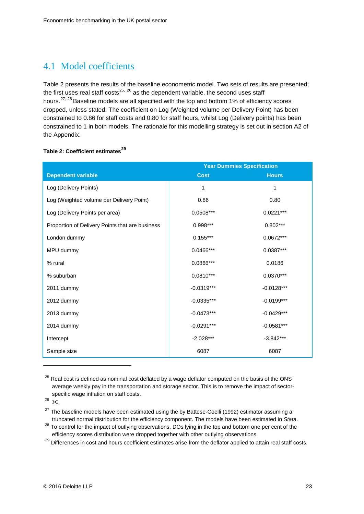### 4.1 Model coefficients

[Table 2](#page-22-0) presents the results of the baseline econometric model. Two sets of results are presented; the first uses real staff costs<sup>[25,](#page-22-1) [26](#page-22-2)</sup> as the dependent variable, the second uses staff hours.<sup>[27](#page-22-3), [28](#page-22-4)</sup> Baseline models are all specified with the top and bottom 1% of efficiency scores dropped, unless stated. The coefficient on Log (Weighted volume per Delivery Point) has been constrained to 0.86 for staff costs and 0.80 for staff hours, whilst Log (Delivery points) has been constrained to 1 in both models. The rationale for this modelling strategy is set out in section A2 of the Appendix.

#### <span id="page-22-0"></span>**Table 2: Coefficient estimates[29](#page-22-5)**

| <b>Year Dummies Specification</b>               |              |              |
|-------------------------------------------------|--------------|--------------|
| Dependent variable                              | <b>Cost</b>  | <b>Hours</b> |
| Log (Delivery Points)                           | 1            | 1            |
| Log (Weighted volume per Delivery Point)        | 0.86         | 0.80         |
| Log (Delivery Points per area)                  | $0.0508***$  | $0.0221***$  |
| Proportion of Delivery Points that are business | $0.998***$   | $0.802***$   |
| London dummy                                    | $0.155***$   | $0.0672***$  |
| MPU dummy                                       | 0.0466***    | 0.0387***    |
| % rural                                         | 0.0866***    | 0.0186       |
| % suburban                                      | $0.0810***$  | $0.0370***$  |
| 2011 dummy                                      | $-0.0319***$ | $-0.0128***$ |
| 2012 dummy                                      | $-0.0335***$ | $-0.0199***$ |
| 2013 dummy                                      | $-0.0473***$ | $-0.0429***$ |
| 2014 dummy                                      | $-0.0291***$ | $-0.0581***$ |
| Intercept                                       | $-2.028***$  | $-3.842***$  |
| Sample size                                     | 6087         | 6087         |

<span id="page-22-1"></span><sup>&</sup>lt;sup>25</sup> Real cost is defined as nominal cost deflated by a wage deflator computed on the basis of the ONS average weekly pay in the transportation and storage sector. This is to remove the impact of sectorspecific wage inflation on staff costs.

-

<span id="page-22-3"></span> $27$  The baseline models have been estimated using the by Battese-Coelli (1992) estimator assuming a truncated normal distribution for the efficiency component. The models have been estimated in *Stata*.

<span id="page-22-5"></span><sup>29</sup> Differences in cost and hours coefficient estimates arise from the deflator applied to attain real staff costs.

<span id="page-22-2"></span> $26 \times$ 

<span id="page-22-4"></span><sup>&</sup>lt;sup>28</sup> To control for the impact of outlying observations, DOs lying in the top and bottom one per cent of the efficiency scores distribution were dropped together with other outlying observations.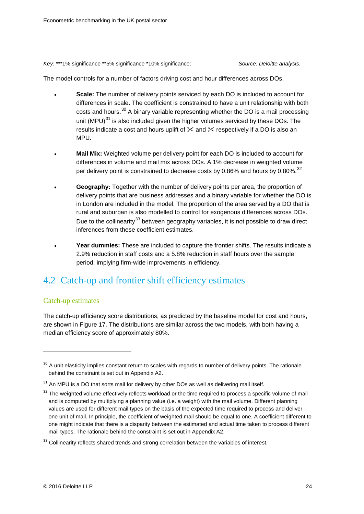*Key:* \*\*\*1% significance \*\*5% significance \*10% significance; *Source: Deloitte analysis.*

The model controls for a number of factors driving cost and hour differences across DOs.

- **Scale:** The number of delivery points serviced by each DO is included to account for differences in scale. The coefficient is constrained to have a unit relationship with both costs and hours.<sup>[30](#page-23-0)</sup> A binary variable representing whether the DO is a mail processing unit (MPU) $^{31}$  $^{31}$  $^{31}$  is also included given the higher volumes serviced by these DOs. The results indicate a cost and hours uplift of  $\times$  and  $\times$  respectively if a DO is also an MPU.
- **Mail Mix:** Weighted volume per delivery point for each DO is included to account for differences in volume and mail mix across DOs. A 1% decrease in weighted volume per delivery point is constrained to decrease costs by 0.86% and hours by 0.80%.  $32$
- **Geography:** Together with the number of delivery points per area, the proportion of delivery points that are business addresses and a binary variable for whether the DO is in London are included in the model. The proportion of the area served by a DO that is rural and suburban is also modelled to control for exogenous differences across DOs. Due to the collinearity<sup>[33](#page-23-3)</sup> between geography variables, it is not possible to draw direct inferences from these coefficient estimates.
- **Year dummies:** These are included to capture the frontier shifts. The results indicate a 2.9% reduction in staff costs and a 5.8% reduction in staff hours over the sample period, implying firm-wide improvements in efficiency.

### 4.2 Catch-up and frontier shift efficiency estimates

#### Catch-up estimates

-

The catch-up efficiency score distributions, as predicted by the baseline model for cost and hours, are shown in [Figure 17.](#page-24-0) The distributions are similar across the two models, with both having a median efficiency score of approximately 80%.

<span id="page-23-0"></span> $30$  A unit elasticity implies constant return to scales with regards to number of delivery points. The rationale behind the constraint is set out in Appendix A2.

<span id="page-23-1"></span> $31$  An MPU is a DO that sorts mail for delivery by other DOs as well as delivering mail itself.

<span id="page-23-2"></span><sup>&</sup>lt;sup>32</sup> The weighted volume effectively reflects workload or the time required to process a specific volume of mail and is computed by multiplying a planning value (i.e. a weight) with the mail volume. Different planning values are used for different mail types on the basis of the expected time required to process and deliver one unit of mail. In principle, the coefficient of weighted mail should be equal to one. A coefficient different to one might indicate that there is a disparity between the estimated and actual time taken to process different mail types. The rationale behind the constraint is set out in Appendix A2.

<span id="page-23-3"></span><sup>&</sup>lt;sup>33</sup> Collinearity reflects shared trends and strong correlation between the variables of interest.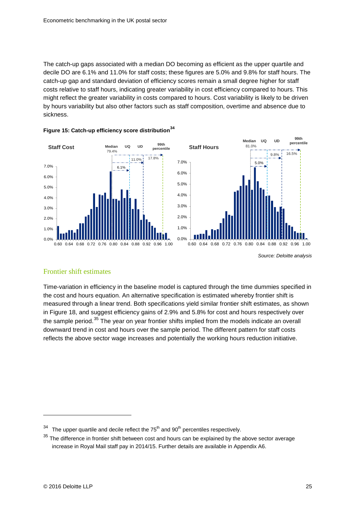The catch-up gaps associated with a median DO becoming as efficient as the upper quartile and decile DO are 6.1% and 11.0% for staff costs; these figures are 5.0% and 9.8% for staff hours. The catch-up gap and standard deviation of efficiency scores remain a small degree higher for staff costs relative to staff hours, indicating greater variability in cost efficiency compared to hours. This might reflect the greater variability in costs compared to hours. Cost variability is likely to be driven by hours variability but also other factors such as staff composition, overtime and absence due to sickness.



<span id="page-24-0"></span>

*Source: Deloitte analysis*

#### Frontier shift estimates

<span id="page-24-1"></span>Time-variation in efficiency in the baseline model is captured through the time dummies specified in the cost and hours equation. An alternative specification is estimated whereby frontier shift is measured through a linear trend. Both specifications yield similar frontier shift estimates, as shown in [Figure 18,](#page-24-1) and suggest efficiency gains of 2.9% and 5.8% for cost and hours respectively over the sample period. $35$  The year on year frontier shifts implied from the models indicate an overall downward trend in cost and hours over the sample period. The different pattern for staff costs reflects the above sector wage increases and potentially the working hours reduction initiative.

<span id="page-24-2"></span>The upper quartile and decile reflect the  $75<sup>th</sup>$  and  $90<sup>th</sup>$  percentiles respectively.

<span id="page-24-3"></span> $35$  The difference in frontier shift between cost and hours can be explained by the above sector average increase in Royal Mail staff pay in 2014/15. Further details are available in Appendix A6.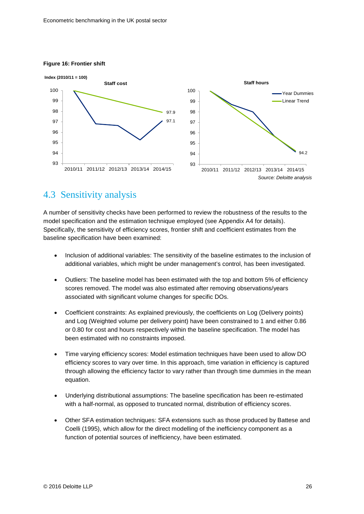#### **Figure 16: Frontier shift**



### 4.3 Sensitivity analysis

A number of sensitivity checks have been performed to review the robustness of the results to the model specification and the estimation technique employed (see Appendix A4 for details). Specifically, the sensitivity of efficiency scores, frontier shift and coefficient estimates from the baseline specification have been examined:

- Inclusion of additional variables: The sensitivity of the baseline estimates to the inclusion of additional variables, which might be under management's control, has been investigated.
- Outliers: The baseline model has been estimated with the top and bottom 5% of efficiency scores removed. The model was also estimated after removing observations/years associated with significant volume changes for specific DOs.
- Coefficient constraints: As explained previously, the coefficients on Log (Delivery points) and Log (Weighted volume per delivery point) have been constrained to 1 and either 0.86 or 0.80 for cost and hours respectively within the baseline specification. The model has been estimated with no constraints imposed.
- Time varying efficiency scores: Model estimation techniques have been used to allow DO efficiency scores to vary over time. In this approach, time variation in efficiency is captured through allowing the efficiency factor to vary rather than through time dummies in the mean equation.
- Underlying distributional assumptions: The baseline specification has been re-estimated with a half-normal, as opposed to truncated normal, distribution of efficiency scores.
- Other SFA estimation techniques: SFA extensions such as those produced by Battese and Coelli (1995), which allow for the direct modelling of the inefficiency component as a function of potential sources of inefficiency, have been estimated.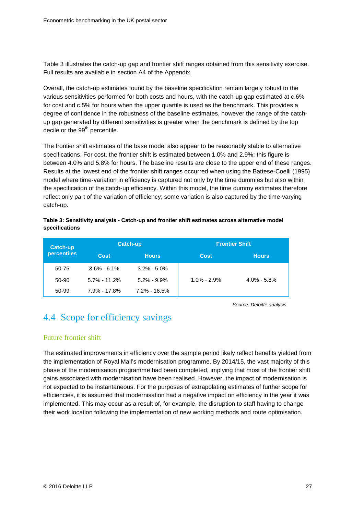[Table 3](#page-26-1) illustrates the catch-up gap and frontier shift ranges obtained from this sensitivity exercise. Full results are available in section A4 of the Appendix.

Overall, the catch-up estimates found by the baseline specification remain largely robust to the various sensitivities performed for both costs and hours, with the catch-up gap estimated at c.6% for cost and c.5% for hours when the upper quartile is used as the benchmark. This provides a degree of confidence in the robustness of the baseline estimates, however the range of the catchup gap generated by different sensitivities is greater when the benchmark is defined by the top decile or the 99<sup>th</sup> percentile.

The frontier shift estimates of the base model also appear to be reasonably stable to alternative specifications. For cost, the frontier shift is estimated between 1.0% and 2.9%; this figure is between 4.0% and 5.8% for hours. The baseline results are close to the upper end of these ranges. Results at the lowest end of the frontier shift ranges occurred when using the Battese-Coelli (1995) model where time-variation in efficiency is captured not only by the time dummies but also within the specification of the catch-up efficiency. Within this model, the time dummy estimates therefore reflect only part of the variation of efficiency; some variation is also captured by the time-varying catch-up.

<span id="page-26-1"></span>**Table 3: Sensitivity analysis - Catch-up and frontier shift estimates across alternative model specifications**

| Catch-up    | <b>Catch-up</b>  |                  | <b>Frontier Shift</b> |                 |
|-------------|------------------|------------------|-----------------------|-----------------|
| percentiles | Cost             | <b>Hours</b>     | Cost                  | <b>Hours</b>    |
| 50-75       | $3.6\% - 6.1\%$  | $3.2\% - 5.0\%$  |                       |                 |
| 50-90       | $5.7\% - 11.2\%$ | $5.2\% - 9.9\%$  | $1.0\% - 2.9\%$       | $4.0\% - 5.8\%$ |
| 50-99       | $7.9\% - 17.8\%$ | $7.2\% - 16.5\%$ |                       |                 |

*Source: Deloitte analysis*

## <span id="page-26-0"></span>4.4 Scope for efficiency savings

#### Future frontier shift

The estimated improvements in efficiency over the sample period likely reflect benefits yielded from the implementation of Royal Mail's modernisation programme. By 2014/15, the vast majority of this phase of the modernisation programme had been completed, implying that most of the frontier shift gains associated with modernisation have been realised. However, the impact of modernisation is not expected to be instantaneous. For the purposes of extrapolating estimates of further scope for efficiencies, it is assumed that modernisation had a negative impact on efficiency in the year it was implemented. This may occur as a result of, for example, the disruption to staff having to change their work location following the implementation of new working methods and route optimisation.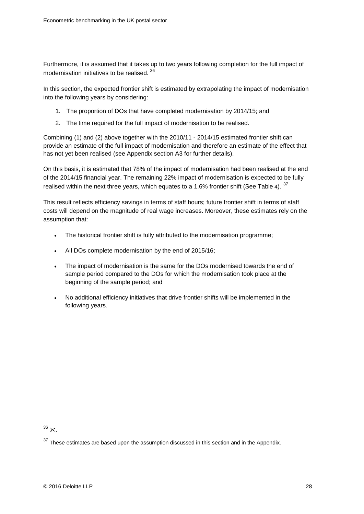Furthermore, it is assumed that it takes up to two years following completion for the full impact of modernisation initiatives to be realised. [36](#page-27-1)

In this section, the expected frontier shift is estimated by extrapolating the impact of modernisation into the following years by considering:

- 1. The proportion of DOs that have completed modernisation by 2014/15; and
- 2. The time required for the full impact of modernisation to be realised.

Combining (1) and (2) above together with the 2010/11 - 2014/15 estimated frontier shift can provide an estimate of the full impact of modernisation and therefore an estimate of the effect that has not yet been realised (see Appendix section A3 for further details).

On this basis, it is estimated that 78% of the impact of modernisation had been realised at the end of the 2014/15 financial year. The remaining 22% impact of modernisation is expected to be fully realised within the next three years, which equates to a 1.6% frontier shift (See [Table](#page-27-0) 4).  $37$ 

This result reflects efficiency savings in terms of staff hours; future frontier shift in terms of staff costs will depend on the magnitude of real wage increases. Moreover, these estimates rely on the assumption that:

- The historical frontier shift is fully attributed to the modernisation programme;
- All DOs complete modernisation by the end of 2015/16;
- The impact of modernisation is the same for the DOs modernised towards the end of sample period compared to the DOs for which the modernisation took place at the beginning of the sample period; and
- <span id="page-27-0"></span>• No additional efficiency initiatives that drive frontier shifts will be implemented in the following years.

<span id="page-27-1"></span> $36 \times$ .

<span id="page-27-2"></span> $37$  These estimates are based upon the assumption discussed in this section and in the Appendix.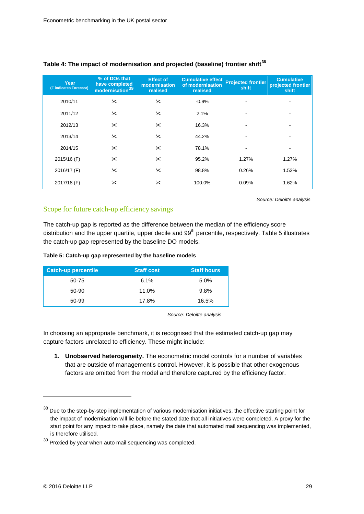| Year<br>(F indicates Forecast) | % of DOs that<br>have completed<br>modernisation <sup>39</sup> | <b>Effect of</b><br>modernisation<br>realised | <b>Cumulative effect</b><br>of modernisation<br>realised | <b>Projected frontier</b><br>shift | <b>Cumulative</b><br>projected frontier<br>shift |
|--------------------------------|----------------------------------------------------------------|-----------------------------------------------|----------------------------------------------------------|------------------------------------|--------------------------------------------------|
| 2010/11                        | $\times$                                                       | $\times$                                      | $-0.9%$                                                  |                                    |                                                  |
| 2011/12                        | $\times$                                                       | $\times$                                      | 2.1%                                                     |                                    | $\overline{\phantom{a}}$                         |
| 2012/13                        | $\times$                                                       | $\times$                                      | 16.3%                                                    |                                    |                                                  |
| 2013/14                        | $\times$                                                       | $\times$                                      | 44.2%                                                    |                                    |                                                  |
| 2014/15                        | $\times$                                                       | $\times$                                      | 78.1%                                                    |                                    | $\overline{\phantom{0}}$                         |
| 2015/16 (F)                    | $\times$                                                       | $\times$                                      | 95.2%                                                    | 1.27%                              | 1.27%                                            |
| 2016/17 (F)                    | $\times$                                                       | $\times$                                      | 98.8%                                                    | 0.26%                              | 1.53%                                            |
| 2017/18 (F)                    | $\times$                                                       | $\times$                                      | 100.0%                                                   | 0.09%                              | 1.62%                                            |

#### **Table 4: The impact of modernisation and projected (baseline) frontier shift[38](#page-28-1)**

*Source: Deloitte analysis*

#### Scope for future catch-up efficiency savings

The catch-up gap is reported as the difference between the median of the efficiency score distribution and the upper quartile, upper decile and 99<sup>th</sup> percentile, respectively. [Table 5](#page-28-0) illustrates the catch-up gap represented by the baseline DO models.

#### <span id="page-28-0"></span>**Table 5: Catch-up gap represented by the baseline models**

| <b>Catch-up percentile</b> | <b>Staff cost</b> | <b>Staff hours</b> |
|----------------------------|-------------------|--------------------|
| 50-75                      | 6.1%              | 5.0%               |
| 50-90                      | 11.0%             | 9.8%               |
| 50-99                      | 17.8%             | 16.5%              |

*Source: Deloitte analysis*

In choosing an appropriate benchmark, it is recognised that the estimated catch-up gap may capture factors unrelated to efficiency. These might include:

**1. Unobserved heterogeneity.** The econometric model controls for a number of variables that are outside of management's control. However, it is possible that other exogenous factors are omitted from the model and therefore captured by the efficiency factor.

<span id="page-28-1"></span><sup>&</sup>lt;sup>38</sup> Due to the step-by-step implementation of various modernisation initiatives, the effective starting point for the impact of modernisation will lie before the stated date that all initiatives were completed. A proxy for the start point for any impact to take place, namely the date that automated mail sequencing was implemented, is therefore utilised.

<span id="page-28-2"></span><sup>39</sup> Proxied by year when auto mail sequencing was completed.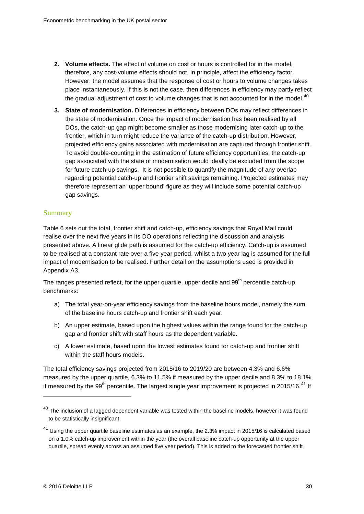- **2. Volume effects.** The effect of volume on cost or hours is controlled for in the model, therefore, any cost-volume effects should not, in principle, affect the efficiency factor. However, the model assumes that the response of cost or hours to volume changes takes place instantaneously. If this is not the case, then differences in efficiency may partly reflect the gradual adjustment of cost to volume changes that is not accounted for in the model. $40$
- **3. State of modernisation.** Differences in efficiency between DOs may reflect differences in the state of modernisation. Once the impact of modernisation has been realised by all DOs, the catch-up gap might become smaller as those modernising later catch-up to the frontier, which in turn might reduce the variance of the catch-up distribution. However, projected efficiency gains associated with modernisation are captured through frontier shift. To avoid double-counting in the estimation of future efficiency opportunities, the catch-up gap associated with the state of modernisation would ideally be excluded from the scope for future catch-up savings. It is not possible to quantify the magnitude of any overlap regarding potential catch-up and frontier shift savings remaining. Projected estimates may therefore represent an 'upper bound' figure as they will include some potential catch-up gap savings.

#### **Summary**

[Table 6](#page-30-0) sets out the total, frontier shift and catch-up, efficiency savings that Royal Mail could realise over the next five years in its DO operations reflecting the discussion and analysis presented above. A linear glide path is assumed for the catch-up efficiency. Catch-up is assumed to be realised at a constant rate over a five year period, whilst a two year lag is assumed for the full impact of modernisation to be realised. Further detail on the assumptions used is provided in Appendix A3.

The ranges presented reflect, for the upper quartile, upper decile and 99<sup>th</sup> percentile catch-up benchmarks:

- a) The total year-on-year efficiency savings from the baseline hours model, namely the sum of the baseline hours catch-up and frontier shift each year.
- b) An upper estimate, based upon the highest values within the range found for the catch-up gap and frontier shift with staff hours as the dependent variable.
- c) A lower estimate, based upon the lowest estimates found for catch-up and frontier shift within the staff hours models.

The total efficiency savings projected from 2015/16 to 2019/20 are between 4.3% and 6.6% measured by the upper quartile, 6.3% to 11.5% if measured by the upper decile and 8.3% to 18.1% if measured by the 99<sup>th</sup> percentile. The largest single year improvement is projected in 2015/16.<sup>[41](#page-29-1)</sup> If

<span id="page-29-0"></span> $40$  The inclusion of a lagged dependent variable was tested within the baseline models, however it was found to be statistically insignificant.

<span id="page-29-1"></span> $41$  Using the upper quartile baseline estimates as an example, the 2.3% impact in 2015/16 is calculated based on a 1.0% catch-up improvement within the year (the overall baseline catch-up opportunity at the upper quartile, spread evenly across an assumed five year period). This is added to the forecasted frontier shift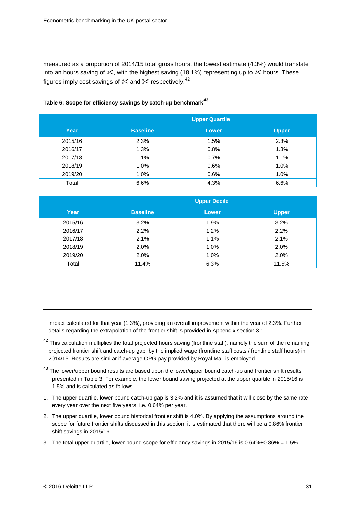measured as a proportion of 2014/15 total gross hours, the lowest estimate (4.3%) would translate into an hours saving of  $\times$ , with the highest saving (18.1%) representing up to  $\times$  hours. These figures imply cost savings of  $\times$  and  $\times$  respectively.<sup>[42](#page-30-1)</sup>

|         |                 | <b>Upper Quartile</b> |              |
|---------|-----------------|-----------------------|--------------|
| Year    | <b>Baseline</b> | <b>Lower</b>          | <b>Upper</b> |
| 2015/16 | 2.3%            | 1.5%                  | 2.3%         |
| 2016/17 | 1.3%            | 0.8%                  | 1.3%         |
| 2017/18 | 1.1%            | 0.7%                  | 1.1%         |
| 2018/19 | 1.0%            | 0.6%                  | 1.0%         |
| 2019/20 | 1.0%            | 0.6%                  | 1.0%         |
| Total   | 6.6%            | 4.3%                  | 6.6%         |

#### <span id="page-30-0"></span>**Table 6: Scope for efficiency savings by catch-up benchmark[43](#page-30-2)**

|         |                 | <b>Upper Decile</b> |              |
|---------|-----------------|---------------------|--------------|
| Year    | <b>Baseline</b> | <b>Lower</b>        | <b>Upper</b> |
| 2015/16 | 3.2%            | 1.9%                | 3.2%         |
| 2016/17 | 2.2%            | 1.2%                | 2.2%         |
| 2017/18 | 2.1%            | 1.1%                | 2.1%         |
| 2018/19 | 2.0%            | 1.0%                | 2.0%         |
| 2019/20 | 2.0%            | 1.0%                | 2.0%         |
| Total   | 11.4%           | 6.3%                | 11.5%        |

impact calculated for that year (1.3%), providing an overall improvement within the year of 2.3%. Further details regarding the extrapolation of the frontier shift is provided in Appendix section 3.1.

- <span id="page-30-1"></span> $42$  This calculation multiplies the total projected hours saving (frontline staff), namely the sum of the remaining projected frontier shift and catch-up gap, by the implied wage (frontline staff costs / frontline staff hours) in 2014/15. Results are similar if average OPG pay provided by Royal Mail is employed.
- <span id="page-30-2"></span><sup>43</sup> The lower/upper bound results are based upon the lower/upper bound catch-up and frontier shift results presented in [Table 3.](#page-26-1) For example, the lower bound saving projected at the upper quartile in 2015/16 is 1.5% and is calculated as follows.
- 1. The upper quartile, lower bound catch-up gap is 3.2% and it is assumed that it will close by the same rate every year over the next five years, i.e. 0.64% per year.
- 2. The upper quartile, lower bound historical frontier shift is 4.0%. By applying the assumptions around the scope for future frontier shifts discussed in this section, it is estimated that there will be a 0.86% frontier shift savings in 2015/16.
- 3. The total upper quartile, lower bound scope for efficiency savings in 2015/16 is 0.64%+0.86% = 1.5%.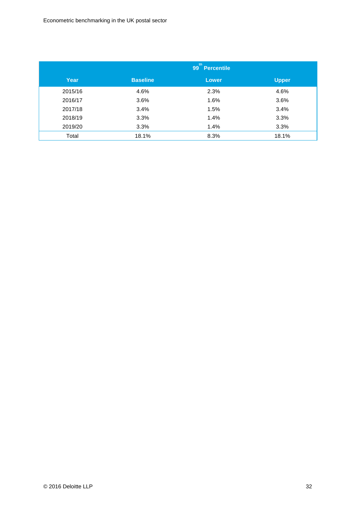|         | th<br>99<br><b>Percentile</b> |              |       |
|---------|-------------------------------|--------------|-------|
| Year    | <b>Baseline</b>               | <b>Lower</b> | Upper |
| 2015/16 | 4.6%                          | 2.3%         | 4.6%  |
| 2016/17 | 3.6%                          | 1.6%         | 3.6%  |
| 2017/18 | 3.4%                          | 1.5%         | 3.4%  |
| 2018/19 | 3.3%                          | 1.4%         | 3.3%  |
| 2019/20 | 3.3%                          | 1.4%         | 3.3%  |
| Total   | 18.1%                         | 8.3%         | 18.1% |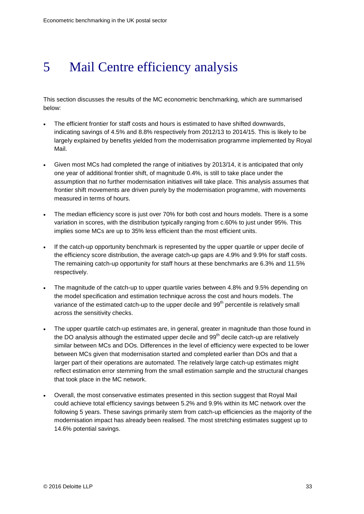## <span id="page-32-0"></span>5 Mail Centre efficiency analysis

This section discusses the results of the MC econometric benchmarking, which are summarised below:

- The efficient frontier for staff costs and hours is estimated to have shifted downwards, indicating savings of 4.5% and 8.8% respectively from 2012/13 to 2014/15. This is likely to be largely explained by benefits yielded from the modernisation programme implemented by Royal Mail.
- Given most MCs had completed the range of initiatives by 2013/14, it is anticipated that only one year of additional frontier shift, of magnitude 0.4%, is still to take place under the assumption that no further modernisation initiatives will take place. This analysis assumes that frontier shift movements are driven purely by the modernisation programme, with movements measured in terms of hours.
- The median efficiency score is just over 70% for both cost and hours models. There is a some variation in scores, with the distribution typically ranging from c.60% to just under 95%. This implies some MCs are up to 35% less efficient than the most efficient units.
- If the catch-up opportunity benchmark is represented by the upper quartile or upper decile of the efficiency score distribution, the average catch-up gaps are 4.9% and 9.9% for staff costs. The remaining catch-up opportunity for staff hours at these benchmarks are 6.3% and 11.5% respectively.
- The magnitude of the catch-up to upper quartile varies between 4.8% and 9.5% depending on the model specification and estimation technique across the cost and hours models. The variance of the estimated catch-up to the upper decile and 99<sup>th</sup> percentile is relatively small across the sensitivity checks.
- The upper quartile catch-up estimates are, in general, greater in magnitude than those found in the DO analysis although the estimated upper decile and  $99<sup>th</sup>$  decile catch-up are relatively similar between MCs and DOs. Differences in the level of efficiency were expected to be lower between MCs given that modernisation started and completed earlier than DOs and that a larger part of their operations are automated. The relatively large catch-up estimates might reflect estimation error stemming from the small estimation sample and the structural changes that took place in the MC network.
- Overall, the most conservative estimates presented in this section suggest that Royal Mail could achieve total efficiency savings between 5.2% and 9.9% within its MC network over the following 5 years. These savings primarily stem from catch-up efficiencies as the majority of the modernisation impact has already been realised. The most stretching estimates suggest up to 14.6% potential savings.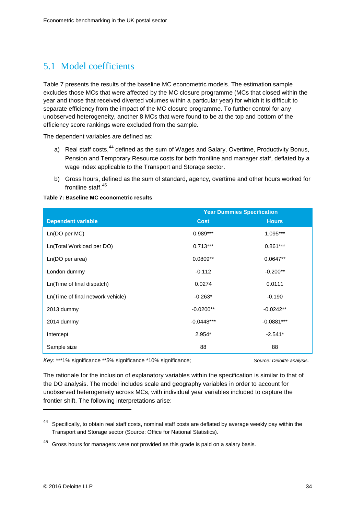## 5.1 Model coefficients

[Table 7](#page-33-0) presents the results of the baseline MC econometric models. The estimation sample excludes those MCs that were affected by the MC closure programme (MCs that closed within the year and those that received diverted volumes within a particular year) for which it is difficult to separate efficiency from the impact of the MC closure programme. To further control for any unobserved heterogeneity, another 8 MCs that were found to be at the top and bottom of the efficiency score rankings were excluded from the sample.

The dependent variables are defined as:

- a) Real staff costs, <sup>[44](#page-33-1)</sup> defined as the sum of Wages and Salary, Overtime, Productivity Bonus, Pension and Temporary Resource costs for both frontline and manager staff, deflated by a wage index applicable to the Transport and Storage sector.
- b) Gross hours, defined as the sum of standard, agency, overtime and other hours worked for frontline staff.<sup>[45](#page-33-2)</sup>

<span id="page-33-0"></span>

| Table 7: Baseline MC econometric results |
|------------------------------------------|
|------------------------------------------|

|                                   | <b>Year Dummies Specification</b> |              |
|-----------------------------------|-----------------------------------|--------------|
| <b>Dependent variable</b>         | <b>Cost</b>                       | <b>Hours</b> |
| Ln(DO per MC)                     | $0.989***$                        | 1.095***     |
| Ln(Total Workload per DO)         | $0.713***$                        | $0.861***$   |
| Ln(DO per area)                   | $0.0809**$                        | $0.0647**$   |
| London dummy                      | $-0.112$                          | $-0.200**$   |
| Ln(Time of final dispatch)        | 0.0274                            | 0.0111       |
| Ln(Time of final network vehicle) | $-0.263*$                         | $-0.190$     |
| 2013 dummy                        | $-0.0200**$                       | $-0.0242**$  |
| 2014 dummy                        | $-0.0448***$                      | $-0.0881***$ |
| Intercept                         | $2.954*$                          | $-2.541*$    |
| Sample size                       | 88                                | 88           |

*Key:* \*\*\*1% significance \*\*5% significance \*10% significance; *Source: Deloitte analysis.*

The rationale for the inclusion of explanatory variables within the specification is similar to that of the DO analysis. The model includes scale and geography variables in order to account for unobserved heterogeneity across MCs, with individual year variables included to capture the frontier shift. The following interpretations arise:

<span id="page-33-1"></span><sup>44</sup> Specifically, to obtain real staff costs, nominal staff costs are deflated by average weekly pay within the Transport and Storage sector (Source: Office for National Statistics).

<span id="page-33-2"></span> $45$  Gross hours for managers were not provided as this grade is paid on a salary basis.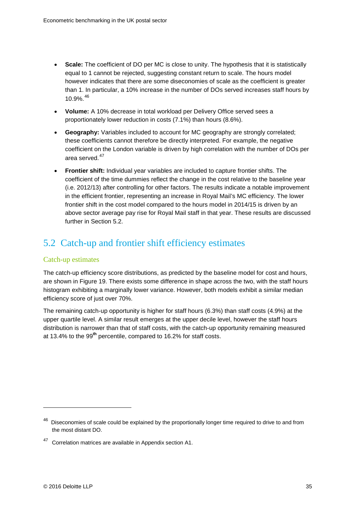- **Scale:** The coefficient of DO per MC is close to unity. The hypothesis that it is statistically equal to 1 cannot be rejected, suggesting constant return to scale. The hours model however indicates that there are some diseconomies of scale as the coefficient is greater than 1. In particular, a 10% increase in the number of DOs served increases staff hours by 10.9%.[46](#page-34-0)
- **Volume:** A 10% decrease in total workload per Delivery Office served sees a proportionately lower reduction in costs (7.1%) than hours (8.6%).
- **Geography:** Variables included to account for MC geography are strongly correlated; these coefficients cannot therefore be directly interpreted. For example, the negative coefficient on the London variable is driven by high correlation with the number of DOs per area served. [47](#page-34-1)
- **Frontier shift:** Individual year variables are included to capture frontier shifts. The coefficient of the time dummies reflect the change in the cost relative to the baseline year (i.e. 2012/13) after controlling for other factors. The results indicate a notable improvement in the efficient frontier, representing an increase in Royal Mail's MC efficiency. The lower frontier shift in the cost model compared to the hours model in 2014/15 is driven by an above sector average pay rise for Royal Mail staff in that year. These results are discussed further in Section 5.2.

## 5.2 Catch-up and frontier shift efficiency estimates

#### Catch-up estimates

The catch-up efficiency score distributions, as predicted by the baseline model for cost and hours, are shown in [Figure 19.](#page-35-0) There exists some difference in shape across the two, with the staff hours histogram exhibiting a marginally lower variance. However, both models exhibit a similar median efficiency score of just over 70%.

The remaining catch-up opportunity is higher for staff hours (6.3%) than staff costs (4.9%) at the upper quartile level. A similar result emerges at the upper decile level, however the staff hours distribution is narrower than that of staff costs, with the catch-up opportunity remaining measured at 13.4% to the 99**th** percentile, compared to 16.2% for staff costs.

<span id="page-34-0"></span><sup>&</sup>lt;sup>46</sup> Diseconomies of scale could be explained by the proportionally longer time required to drive to and from the most distant DO.

<span id="page-34-1"></span><sup>47</sup> Correlation matrices are available in Appendix section A1.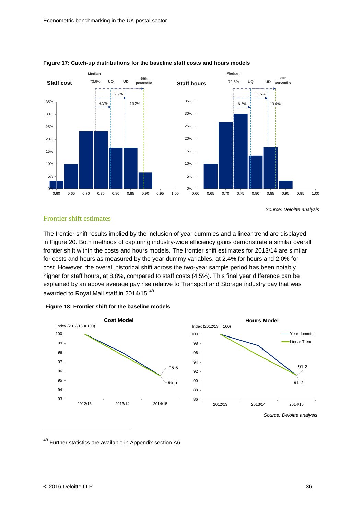

#### <span id="page-35-0"></span>**Figure 17: Catch-up distributions for the baseline staff costs and hours models**

#### Frontier shift estimates

The frontier shift results implied by the inclusion of year dummies and a linear trend are displayed in [Figure 20.](#page-35-1) Both methods of capturing industry-wide efficiency gains demonstrate a similar overall frontier shift within the costs and hours models. The frontier shift estimates for 2013/14 are similar for costs and hours as measured by the year dummy variables, at 2.4% for hours and 2.0% for cost. However, the overall historical shift across the two-year sample period has been notably higher for staff hours, at 8.8%, compared to staff costs (4.5%). This final year difference can be explained by an above average pay rise relative to Transport and Storage industry pay that was awarded to Royal Mail staff in 2014/15.<sup>[48](#page-35-2)</sup>

<span id="page-35-1"></span>



<span id="page-35-2"></span><sup>48</sup> Further statistics are available in Appendix section A6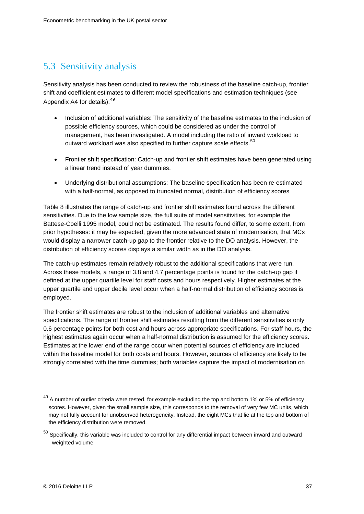## 5.3 Sensitivity analysis

Sensitivity analysis has been conducted to review the robustness of the baseline catch-up, frontier shift and coefficient estimates to different model specifications and estimation techniques (see Appendix A4 for details):<sup>[49](#page-36-0)</sup>

- Inclusion of additional variables: The sensitivity of the baseline estimates to the inclusion of possible efficiency sources, which could be considered as under the control of management, has been investigated. A model including the ratio of inward workload to outward workload was also specified to further capture scale effects.<sup>[50](#page-36-1)</sup>
- Frontier shift specification: Catch-up and frontier shift estimates have been generated using a linear trend instead of year dummies.
- Underlying distributional assumptions: The baseline specification has been re-estimated with a half-normal, as opposed to truncated normal, distribution of efficiency scores

[Table 8](#page-37-1) illustrates the range of catch-up and frontier shift estimates found across the different sensitivities. Due to the low sample size, the full suite of model sensitivities, for example the Battese-Coelli 1995 model, could not be estimated. The results found differ, to some extent, from prior hypotheses: it may be expected, given the more advanced state of modernisation, that MCs would display a narrower catch-up gap to the frontier relative to the DO analysis. However, the distribution of efficiency scores displays a similar width as in the DO analysis.

The catch-up estimates remain relatively robust to the additional specifications that were run. Across these models, a range of 3.8 and 4.7 percentage points is found for the catch-up gap if defined at the upper quartile level for staff costs and hours respectively. Higher estimates at the upper quartile and upper decile level occur when a half-normal distribution of efficiency scores is employed.

The frontier shift estimates are robust to the inclusion of additional variables and alternative specifications. The range of frontier shift estimates resulting from the different sensitivities is only 0.6 percentage points for both cost and hours across appropriate specifications. For staff hours, the highest estimates again occur when a half-normal distribution is assumed for the efficiency scores. Estimates at the lower end of the range occur when potential sources of efficiency are included within the baseline model for both costs and hours. However, sources of efficiency are likely to be strongly correlated with the time dummies; both variables capture the impact of modernisation on

<span id="page-36-0"></span><sup>&</sup>lt;sup>49</sup> A number of outlier criteria were tested, for example excluding the top and bottom 1% or 5% of efficiency scores. However, given the small sample size, this corresponds to the removal of very few MC units, which may not fully account for unobserved heterogeneity. Instead, the eight MCs that lie at the top and bottom of the efficiency distribution were removed.

<span id="page-36-1"></span> $50$  Specifically, this variable was included to control for any differential impact between inward and outward weighted volume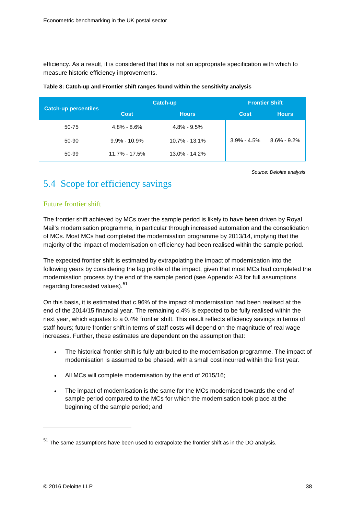efficiency. As a result, it is considered that this is not an appropriate specification with which to measure historic efficiency improvements.

|                             |                   | <b>Catch-up</b>   | <b>Frontier Shift</b> |                 |  |  |  |
|-----------------------------|-------------------|-------------------|-----------------------|-----------------|--|--|--|
| <b>Catch-up percentiles</b> | <b>Cost</b>       | <b>Hours</b>      | <b>Cost</b>           | <b>Hours</b>    |  |  |  |
| 50-75                       | $4.8\% - 8.6\%$   | $4.8\% - 9.5\%$   |                       |                 |  |  |  |
| 50-90                       | $9.9\% - 10.9\%$  | $10.7\% - 13.1\%$ | $3.9\% - 4.5\%$       | $8.6\% - 9.2\%$ |  |  |  |
| 50-99                       | $11.7\% - 17.5\%$ | $13.0\% - 14.2\%$ |                       |                 |  |  |  |

#### <span id="page-37-1"></span>**Table 8: Catch-up and Frontier shift ranges found within the sensitivity analysis**

*Source: Deloitte analysis*

### <span id="page-37-0"></span>5.4 Scope for efficiency savings

#### Future frontier shift

The frontier shift achieved by MCs over the sample period is likely to have been driven by Royal Mail's modernisation programme, in particular through increased automation and the consolidation of MCs. Most MCs had completed the modernisation programme by 2013/14, implying that the majority of the impact of modernisation on efficiency had been realised within the sample period.

The expected frontier shift is estimated by extrapolating the impact of modernisation into the following years by considering the lag profile of the impact, given that most MCs had completed the modernisation process by the end of the sample period (see Appendix A3 for full assumptions regarding forecasted values).<sup>[51](#page-37-2)</sup>

On this basis, it is estimated that c.96% of the impact of modernisation had been realised at the end of the 2014/15 financial year. The remaining c.4% is expected to be fully realised within the next year, which equates to a 0.4% frontier shift. This result reflects efficiency savings in terms of staff hours; future frontier shift in terms of staff costs will depend on the magnitude of real wage increases. Further, these estimates are dependent on the assumption that:

- The historical frontier shift is fully attributed to the modernisation programme. The impact of modernisation is assumed to be phased, with a small cost incurred within the first year.
- All MCs will complete modernisation by the end of 2015/16;
- The impact of modernisation is the same for the MCs modernised towards the end of sample period compared to the MCs for which the modernisation took place at the beginning of the sample period; and

<span id="page-37-2"></span> $51$  The same assumptions have been used to extrapolate the frontier shift as in the DO analysis.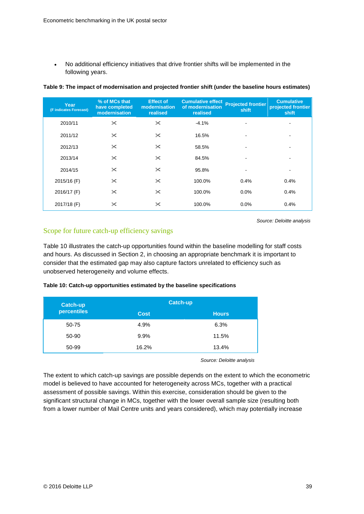• No additional efficiency initiatives that drive frontier shifts will be implemented in the following years.

| Year<br>(F indicates Forecast) | % of MCs that<br>have completed<br>modernisation | <b>Effect of</b><br>modernisation<br>realised | <b>Cumulative effect</b><br>of modernisation<br>realised | <b>Projected frontier</b><br>shift | <b>Cumulative</b><br>projected frontier<br>shift |
|--------------------------------|--------------------------------------------------|-----------------------------------------------|----------------------------------------------------------|------------------------------------|--------------------------------------------------|
| 2010/11                        | $\times$                                         | $\times$                                      | $-4.1%$                                                  |                                    | ٠                                                |
| 2011/12                        | $\times$                                         | $\times$                                      | 16.5%                                                    |                                    | ۰                                                |
| 2012/13                        | $\times$                                         | $\times$                                      | 58.5%                                                    |                                    | $\overline{\phantom{a}}$                         |
| 2013/14                        | $\times$                                         | $\times$                                      | 84.5%                                                    |                                    | ٠                                                |
| 2014/15                        | $\times$                                         | $\times$                                      | 95.8%                                                    |                                    | ۰                                                |
| 2015/16 (F)                    | $\times$                                         | $\times$                                      | 100.0%                                                   | 0.4%                               | 0.4%                                             |
| 2016/17 (F)                    | $\times$                                         | $\times$                                      | 100.0%                                                   | $0.0\%$                            | 0.4%                                             |
| 2017/18 (F)                    | $\times$                                         | $\times$                                      | 100.0%                                                   | 0.0%                               | 0.4%                                             |

#### **Table 9: The impact of modernisation and projected frontier shift (under the baseline hours estimates)**

*Source: Deloitte analysis*

#### Scope for future catch-up efficiency savings

[Table 10](#page-38-0) illustrates the catch-up opportunities found within the baseline modelling for staff costs and hours. As discussed in Section 2, in choosing an appropriate benchmark it is important to consider that the estimated gap may also capture factors unrelated to efficiency such as unobserved heterogeneity and volume effects.

#### <span id="page-38-0"></span>**Table 10: Catch-up opportunities estimated by the baseline specifications**

| Catch-up    | <b>Catch-up</b> |              |
|-------------|-----------------|--------------|
| percentiles | <b>Cost</b>     | <b>Hours</b> |
| 50-75       | 4.9%            | 6.3%         |
| 50-90       | 9.9%            | 11.5%        |
| 50-99       | 16.2%           | 13.4%        |

*Source: Deloitte analysis*

The extent to which catch-up savings are possible depends on the extent to which the econometric model is believed to have accounted for heterogeneity across MCs, together with a practical assessment of possible savings. Within this exercise, consideration should be given to the significant structural change in MCs, together with the lower overall sample size (resulting both from a lower number of Mail Centre units and years considered), which may potentially increase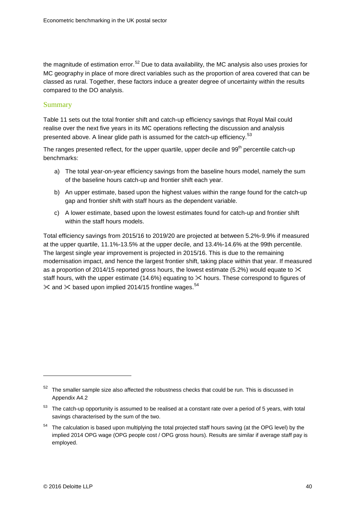the magnitude of estimation error.<sup>[52](#page-39-0)</sup> Due to data availability, the MC analysis also uses proxies for MC geography in place of more direct variables such as the proportion of area covered that can be classed as rural. Together, these factors induce a greater degree of uncertainty within the results compared to the DO analysis.

#### Summary

[Table 11](#page-40-0) sets out the total frontier shift and catch-up efficiency savings that Royal Mail could realise over the next five years in its MC operations reflecting the discussion and analysis presented above. A linear glide path is assumed for the catch-up efficiency.<sup>[53](#page-39-1)</sup>

The ranges presented reflect, for the upper quartile, upper decile and 99<sup>th</sup> percentile catch-up benchmarks:

- a) The total year-on-year efficiency savings from the baseline hours model, namely the sum of the baseline hours catch-up and frontier shift each year.
- b) An upper estimate, based upon the highest values within the range found for the catch-up gap and frontier shift with staff hours as the dependent variable.
- c) A lower estimate, based upon the lowest estimates found for catch-up and frontier shift within the staff hours models.

Total efficiency savings from 2015/16 to 2019/20 are projected at between 5.2%-9.9% if measured at the upper quartile, 11.1%-13.5% at the upper decile, and 13.4%-14.6% at the 99th percentile. The largest single year improvement is projected in 2015/16. This is due to the remaining modernisation impact, and hence the largest frontier shift, taking place within that year. If measured as a proportion of 2014/15 reported gross hours, the lowest estimate (5.2%) would equate to  $\times$ staff hours, with the upper estimate (14.6%) equating to  $\times$  hours. These correspond to figures of  $\times$  and  $\times$  based upon implied 2014/15 frontline wages.<sup>[54](#page-39-2)</sup>

<span id="page-39-0"></span> $52$  The smaller sample size also affected the robustness checks that could be run. This is discussed in Appendix A4.2

<span id="page-39-1"></span><sup>&</sup>lt;sup>53</sup> The catch-up opportunity is assumed to be realised at a constant rate over a period of 5 years, with total savings characterised by the sum of the two.

<span id="page-39-2"></span><sup>54</sup> The calculation is based upon multiplying the total projected staff hours saving (at the OPG level) by the implied 2014 OPG wage (OPG people cost / OPG gross hours). Results are similar if average staff pay is employed.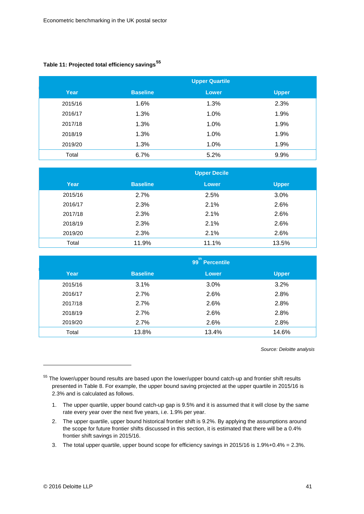#### <span id="page-40-0"></span>**Table 11: Projected total efficiency savings[55](#page-40-1)**

|         |                 | <b>Upper Quartile</b> |       |
|---------|-----------------|-----------------------|-------|
| Year    | <b>Baseline</b> | <b>Lower</b>          | Upper |
| 2015/16 | 1.6%            | 1.3%                  | 2.3%  |
| 2016/17 | 1.3%            | 1.0%                  | 1.9%  |
| 2017/18 | 1.3%            | 1.0%                  | 1.9%  |
| 2018/19 | 1.3%            | 1.0%                  | 1.9%  |
| 2019/20 | 1.3%            | 1.0%                  | 1.9%  |
| Total   | 6.7%            | 5.2%                  | 9.9%  |

|         |                 | <b>Upper Decile</b> |              |
|---------|-----------------|---------------------|--------------|
| Year    | <b>Baseline</b> | <b>Lower</b>        | <b>Upper</b> |
| 2015/16 | 2.7%            | 2.5%                | 3.0%         |
| 2016/17 | 2.3%            | 2.1%                | 2.6%         |
| 2017/18 | 2.3%            | 2.1%                | 2.6%         |
| 2018/19 | 2.3%            | 2.1%                | 2.6%         |
| 2019/20 | 2.3%            | 2.1%                | 2.6%         |
| Total   | 11.9%           | 11.1%               | 13.5%        |

|         |                 | th<br>99 Percentile |              |
|---------|-----------------|---------------------|--------------|
| Year    | <b>Baseline</b> | <b>Lower</b>        | <b>Upper</b> |
| 2015/16 | 3.1%            | 3.0%                | 3.2%         |
| 2016/17 | 2.7%            | 2.6%                | 2.8%         |
| 2017/18 | 2.7%            | 2.6%                | 2.8%         |
| 2018/19 | 2.7%            | 2.6%                | 2.8%         |
| 2019/20 | 2.7%            | 2.6%                | 2.8%         |
| Total   | 13.8%           | 13.4%               | 14.6%        |

*Source: Deloitte analysis*

3. The total upper quartile, upper bound scope for efficiency savings in 2015/16 is 1.9%+0.4% = 2.3%.

<span id="page-40-1"></span><sup>&</sup>lt;sup>55</sup> The lower/upper bound results are based upon the lower/upper bound catch-up and frontier shift results presented in [Table 8.](#page-37-1) For example, the upper bound saving projected at the upper quartile in 2015/16 is 2.3% and is calculated as follows.

<sup>1.</sup> The upper quartile, upper bound catch-up gap is 9.5% and it is assumed that it will close by the same rate every year over the next five years, i.e. 1.9% per year.

<sup>2.</sup> The upper quartile, upper bound historical frontier shift is 9.2%. By applying the assumptions around the scope for future frontier shifts discussed in this section, it is estimated that there will be a 0.4% frontier shift savings in 2015/16.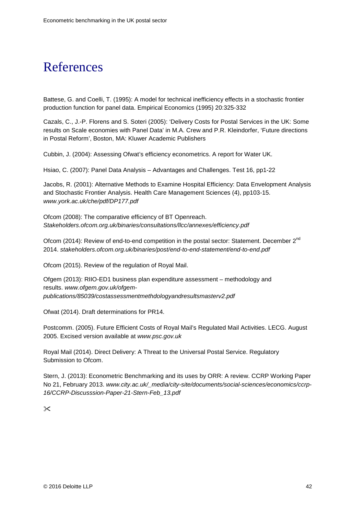## <span id="page-41-0"></span>References

Battese, G. and Coelli, T. (1995): A model for technical inefficiency effects in a stochastic frontier production function for panel data. Empirical Economics (1995) 20:325-332

Cazals, C., J.-P. Florens and S. Soteri (2005): 'Delivery Costs for Postal Services in the UK: Some results on Scale economies with Panel Data' in M.A. Crew and P.R. Kleindorfer, 'Future directions in Postal Reform', Boston, MA: Kluwer Academic Publishers

Cubbin, J. (2004): Assessing Ofwat's efficiency econometrics. A report for Water UK.

Hsiao, C. (2007): Panel Data Analysis – Advantages and Challenges. Test 16, pp1-22

Jacobs, R. (2001): Alternative Methods to Examine Hospital Efficiency: Data Envelopment Analysis and Stochastic Frontier Analysis. Health Care Management Sciences (4), pp103-15. *www.york.ac.uk/che/pdf/DP177.pdf*

Ofcom (2008): The comparative efficiency of BT Openreach. *Stakeholders.ofcom.org.uk/binaries/consultations/llcc/annexes/efficiency.pdf*

Ofcom (2014): Review of end-to-end competition in the postal sector: Statement. December 2<sup>nd</sup> 2014. *[stakeholders.ofcom.org.uk/binaries/post/end-to-end-statement/end-to-end.pdf](http://stakeholders.ofcom.org.uk/binaries/post/end-to-end-statement/end-to-end.pdf)*

Ofcom (2015). Review of the regulation of Royal Mail.

Ofgem (2013): RIIO-ED1 business plan expenditure assessment – methodology and results. *[www.ofgem.gov.uk/ofgem](http://www.ofgem.gov.uk/ofgem-publications/85039/costassessmentmethdologyandresultsmasterv2.pdf)[publications/85039/costassessmentmethdologyandresultsmasterv2.pdf](http://www.ofgem.gov.uk/ofgem-publications/85039/costassessmentmethdologyandresultsmasterv2.pdf)*

Ofwat (2014). Draft determinations for PR14.

Postcomm. (2005). Future Efficient Costs of Royal Mail's Regulated Mail Activities. LECG. August 2005. Excised version available at *www.psc.gov.uk*

Royal Mail (2014). Direct Delivery: A Threat to the Universal Postal Service. Regulatory Submission to Ofcom.

Stern, J. (2013): Econometric Benchmarking and its uses by ORR: A review. CCRP Working Paper No 21, February 2013. *www.city.ac.uk/\_media/city-site/documents/social-sciences/economics/ccrp-16/CCRP-Discusssion-Paper-21-Stern-Feb\_13.pdf*

 $\mathsf{\times}$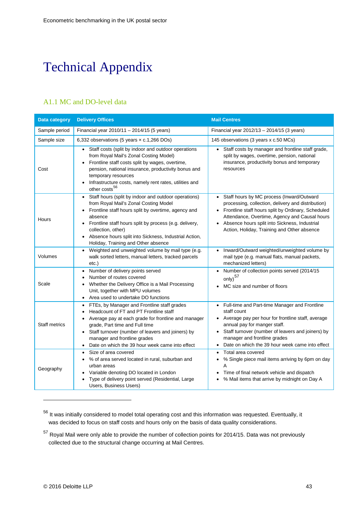## <span id="page-42-0"></span>Technical Appendix

### A1.1 MC and DO-level data

| <b>Data category</b> | <b>Delivery Offices</b>                                                                                                                                                                                                                                                                                                                         | <b>Mail Centres</b>                                                                                                                                                                                                                                                                                    |
|----------------------|-------------------------------------------------------------------------------------------------------------------------------------------------------------------------------------------------------------------------------------------------------------------------------------------------------------------------------------------------|--------------------------------------------------------------------------------------------------------------------------------------------------------------------------------------------------------------------------------------------------------------------------------------------------------|
| Sample period        | Financial year 2010/11 - 2014/15 (5 years)                                                                                                                                                                                                                                                                                                      | Financial year 2012/13 - 2014/15 (3 years)                                                                                                                                                                                                                                                             |
| Sample size          | 6,332 observations (5 years $\times$ c.1,266 DOs)                                                                                                                                                                                                                                                                                               | 145 observations (3 years x c.50 MCs)                                                                                                                                                                                                                                                                  |
| Cost                 | Staff costs (split by indoor and outdoor operations<br>from Royal Mail's Zonal Costing Model)<br>Frontline staff costs split by wages, overtime,<br>pension, national insurance, productivity bonus and<br>temporary resources<br>Infrastructure costs, namely rent rates, utilities and<br>other costs <sup>56</sup>                           | Staff costs by manager and frontline staff grade,<br>split by wages, overtime, pension, national<br>insurance, productivity bonus and temporary<br>resources                                                                                                                                           |
| Hours                | Staff hours (split by indoor and outdoor operations)<br>from Royal Mail's Zonal Costing Model<br>Frontline staff hours split by overtime, agency and<br>absence<br>Frontline staff hours split by process (e.g. delivery,<br>collection, other)<br>Absence hours split into Sickness, Industrial Action,<br>Holiday, Training and Other absence | Staff hours by MC process (Inward/Outward<br>processing, collection, delivery and distribution)<br>Frontline staff hours split by Ordinary, Scheduled<br>Attendance, Overtime, Agency and Causal hours<br>Absence hours split into Sickness, Industrial<br>Action, Holiday, Training and Other absence |
| Volumes              | Weighted and unweighted volume by mail type (e.g.<br>walk sorted letters, manual letters, tracked parcels<br>etc.)                                                                                                                                                                                                                              | Inward/Outward weighted/unweighted volume by<br>mail type (e.g. manual flats, manual packets,<br>mechanized letters)                                                                                                                                                                                   |
| Scale                | Number of delivery points served<br>Number of routes covered<br>Whether the Delivery Office is a Mail Processing<br>Unit, together with MPU volumes<br>• Area used to undertake DO functions                                                                                                                                                    | Number of collection points served (2014/15<br>only) $57$<br>MC size and number of floors                                                                                                                                                                                                              |
| <b>Staff metrics</b> | FTEs, by Manager and Frontline staff grades<br>Headcount of FT and PT Frontline staff<br>Average pay at each grade for frontline and manager<br>grade, Part time and Full time<br>Staff turnover (number of leavers and joiners) by<br>manager and frontline grades<br>Date on which the 39 hour week came into effect                          | Full-time and Part-time Manager and Frontline<br>$\bullet$<br>staff count<br>Average pay per hour for frontline staff, average<br>annual pay for manger staff.<br>Staff turnover (number of leavers and joiners) by<br>manager and frontline grades<br>Date on which the 39 hour week came into effect |
| Geography            | Size of area covered<br>% of area served located in rural, suburban and<br>urban areas<br>Variable denoting DO located in London<br>Type of delivery point served (Residential, Large<br>Users, Business Users)                                                                                                                                 | Total area covered<br>% Single piece mail items arriving by 6pm on day<br>A<br>Time of final network vehicle and dispatch<br>% Mail items that arrive by midnight on Day A                                                                                                                             |

<span id="page-42-1"></span><sup>&</sup>lt;sup>56</sup> It was initially considered to model total operating cost and this information was requested. Eventually, it was decided to focus on staff costs and hours only on the basis of data quality considerations.

<span id="page-42-2"></span><sup>&</sup>lt;sup>57</sup> Royal Mail were only able to provide the number of collection points for 2014/15. Data was not previously collected due to the structural change occurring at Mail Centres.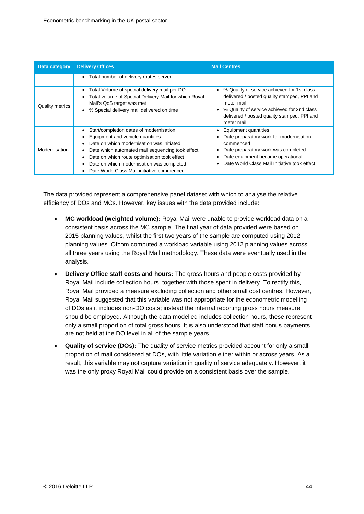| Data category          | <b>Delivery Offices</b>                                                                                                                                                                                                                                                                                                 | <b>Mail Centres</b>                                                                                                                                                                                                  |  |  |  |  |  |  |
|------------------------|-------------------------------------------------------------------------------------------------------------------------------------------------------------------------------------------------------------------------------------------------------------------------------------------------------------------------|----------------------------------------------------------------------------------------------------------------------------------------------------------------------------------------------------------------------|--|--|--|--|--|--|
|                        | Total number of delivery routes served<br>$\bullet$                                                                                                                                                                                                                                                                     |                                                                                                                                                                                                                      |  |  |  |  |  |  |
| <b>Quality metrics</b> | Total Volume of special delivery mail per DO<br>Total volume of Special Delivery Mail for which Royal<br>Mail's QoS target was met<br>% Special delivery mail delivered on time                                                                                                                                         | % Quality of service achieved for 1st class<br>delivered / posted quality stamped, PPI and<br>meter mail<br>% Quality of service achieved for 2nd class<br>delivered / posted quality stamped, PPI and<br>meter mail |  |  |  |  |  |  |
| Modernisation          | Start/completion dates of modernisation<br>Equipment and vehicle quantities<br>Date on which modernisation was initiated<br>Date which automated mail sequencing took effect<br>Date on which route optimisation took effect<br>Date on which modernisation was completed<br>Date World Class Mail initiative commenced | Equipment quantities<br>Date preparatory work for modernisation<br>commenced<br>Date preparatory work was completed<br>Date equipment became operational<br>Date World Class Mail Initiative took effect             |  |  |  |  |  |  |

The data provided represent a comprehensive panel dataset with which to analyse the relative efficiency of DOs and MCs. However, key issues with the data provided include:

- **MC workload (weighted volume):** Royal Mail were unable to provide workload data on a consistent basis across the MC sample. The final year of data provided were based on 2015 planning values, whilst the first two years of the sample are computed using 2012 planning values. Ofcom computed a workload variable using 2012 planning values across all three years using the Royal Mail methodology. These data were eventually used in the analysis.
- **Delivery Office staff costs and hours:** The gross hours and people costs provided by Royal Mail include collection hours, together with those spent in delivery. To rectify this, Royal Mail provided a measure excluding collection and other small cost centres. However, Royal Mail suggested that this variable was not appropriate for the econometric modelling of DOs as it includes non-DO costs; instead the internal reporting gross hours measure should be employed. Although the data modelled includes collection hours, these represent only a small proportion of total gross hours. It is also understood that staff bonus payments are not held at the DO level in all of the sample years.
- **Quality of service (DOs):** The quality of service metrics provided account for only a small proportion of mail considered at DOs, with little variation either within or across years. As a result, this variable may not capture variation in quality of service adequately. However, it was the only proxy Royal Mail could provide on a consistent basis over the sample.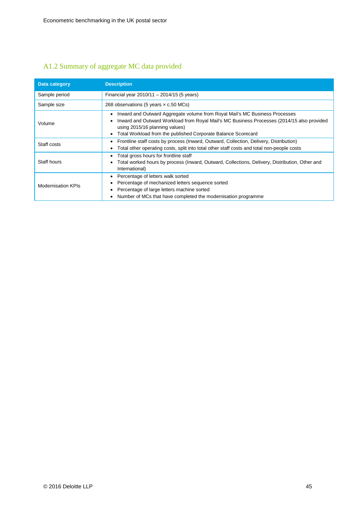## A1.2 Summary of aggregate MC data provided

| Data category             | <b>Description</b>                                                                                                                                                                                                                                                           |
|---------------------------|------------------------------------------------------------------------------------------------------------------------------------------------------------------------------------------------------------------------------------------------------------------------------|
| Sample period             | Financial year 2010/11 - 2014/15 (5 years)                                                                                                                                                                                                                                   |
| Sample size               | 268 observations (5 years $\times$ c.50 MCs)                                                                                                                                                                                                                                 |
| Volume                    | Inward and Outward Aggregate volume from Royal Mail's MC Business Processes<br>Inward and Outward Workload from Royal Mail's MC Business Processes (2014/15 also provided<br>using 2015/16 planning values)<br>Total Workload from the published Corporate Balance Scorecard |
| Staff costs               | Frontline staff costs by process (Inward, Outward, Collection, Delivery, Distribution)<br>٠<br>Total other operating costs, split into total other staff costs and total non-people costs<br>٠                                                                               |
| Staff hours               | Total gross hours for frontline staff<br>Total worked hours by process (Inward, Outward, Collections, Delivery, Distribution, Other and<br>International)                                                                                                                    |
| <b>Modernisation KPIs</b> | Percentage of letters walk sorted<br>Percentage of mechanized letters sequence sorted<br>Percentage of large letters machine sorted<br>Number of MCs that have completed the modernisation programme                                                                         |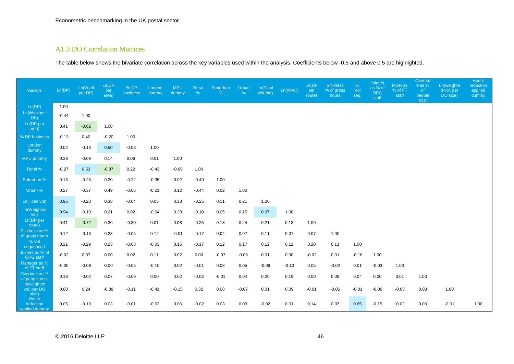#### A1.3 DO Correlation Matrices

The table below shows the bivariate correlation across the key variables used within the analysis. Coefficients below -0.5 and above 0.5 are highlighted.

| <b>Variable</b>                     | Ln(DP)  | Ln(Wvol<br>per DP) | Ln(DP<br>per<br>area) | % DP<br>business | London<br>dummy | <b>MPU</b><br>dummy | Rural<br>$\%$ | Suburban<br>% | Urban<br>$\%$ | Ln(Total<br>volume) | Ln(Wvol) | Ln(DP<br>per<br>route) | <b>Sickness</b><br>% of gross<br>hours | %<br>Vol<br>seq. | <b>Joiners</b><br>as % of<br><b>OPG</b><br>staff | MGR as<br>% of FT<br>staff | Overtim<br>e as %<br><sub>of</sub><br>people<br>cost | Ln(weighte<br>d vol. per<br>DO size) | <b>Hours</b><br>reduction<br>applied<br>dummy |
|-------------------------------------|---------|--------------------|-----------------------|------------------|-----------------|---------------------|---------------|---------------|---------------|---------------------|----------|------------------------|----------------------------------------|------------------|--------------------------------------------------|----------------------------|------------------------------------------------------|--------------------------------------|-----------------------------------------------|
| Ln(DP)                              | 1.00    |                    |                       |                  |                 |                     |               |               |               |                     |          |                        |                                        |                  |                                                  |                            |                                                      |                                      |                                               |
| Ln(Wvol per<br>DP)                  | $-0.44$ | 1.00               |                       |                  |                 |                     |               |               |               |                     |          |                        |                                        |                  |                                                  |                            |                                                      |                                      |                                               |
| Ln(DP per<br>area)                  | 0.41    | $-0.62$            | 1.00                  |                  |                 |                     |               |               |               |                     |          |                        |                                        |                  |                                                  |                            |                                                      |                                      |                                               |
| % DP business                       | $-0.13$ | 0.40               | $-0.20$               | 1.00             |                 |                     |               |               |               |                     |          |                        |                                        |                  |                                                  |                            |                                                      |                                      |                                               |
| London<br>dummy                     | 0.02    | $-0.13$            | 0.50                  | $-0.03$          | 1.00            |                     |               |               |               |                     |          |                        |                                        |                  |                                                  |                            |                                                      |                                      |                                               |
| MPU dummy                           | 0.38    | $-0.09$            | 0.14                  | 0.06             | 0.01            | 1.00                |               |               |               |                     |          |                        |                                        |                  |                                                  |                            |                                                      |                                      |                                               |
| Rural %                             | $-0.27$ | 0.53               | $-0.87$               | 0.22             | $-0.43$         | $-0.09$             | 1.00          |               |               |                     |          |                        |                                        |                  |                                                  |                            |                                                      |                                      |                                               |
| Suburban %                          | 0.13    | $-0.25$            | 0.20                  | $-0.22$          | $-0.35$         | 0.02                | $-0.49$       | 1.00          |               |                     |          |                        |                                        |                  |                                                  |                            |                                                      |                                      |                                               |
| Urban %                             | 0.27    | $-0.37$            | 0.49                  | $-0.05$          | $-0.21$         | 0.12                | $-0.44$       | 0.02          | 1.00          |                     |          |                        |                                        |                  |                                                  |                            |                                                      |                                      |                                               |
| Ln(Total vol)                       | 0.95    | $-0.23$            | 0.38                  | $-0.04$          | 0.05            | 0.38                | $-0.25$       | 0.11          | 0.21          | 1.00                |          |                        |                                        |                  |                                                  |                            |                                                      |                                      |                                               |
| Ln(Weighted<br>vol)                 | 0.94    | $-0.10$            | 0.21                  | 0.02             | $-0.04$         | 0.38                | $-0.10$       | 0.05          | 0.15          | 0.97                | 1.00     |                        |                                        |                  |                                                  |                            |                                                      |                                      |                                               |
| Ln(DP per<br>route)                 | 0.41    | $-0.72$            | 0.30                  | $-0.30$          | 0.01            | 0.08                | $-0.25$       | 0.13          | 0.24          | 0.21                | 0.18     | 1.00                   |                                        |                  |                                                  |                            |                                                      |                                      |                                               |
| Sickness as %<br>of gross hours     | 0.12    | $-0.16$            | 0.23                  | $-0.06$          | 0.12            | $-0.01$             | $-0.17$       | 0.04          | 0.07          | 0.11                | 0.07     | 0.07                   | 1.00                                   |                  |                                                  |                            |                                                      |                                      |                                               |
| % Vol<br>sequenced                  | 0.21    | $-0.29$            | 0.23                  | $-0.08$          | $-0.03$         | 0.15                | $-0.17$       | 0.12          | 0.17          | 0.12                | 0.12     | 0.20                   | 0.11                                   | 1.00             |                                                  |                            |                                                      |                                      |                                               |
| Joiners as % of<br>OPG staff        | $-0.02$ | 0.07               | 0.00                  | 0.02             | 0.11            | 0.02                | 0.00          | $-0.07$       | $-0.06$       | 0.01                | 0.00     | $-0.02$                | 0.01                                   | $-0.18$          | 1.00                                             |                            |                                                      |                                      |                                               |
| Manager as %<br>of FT staff         | $-0.06$ | $-0.08$            | 0.00                  | $-0.05$          | $-0.10$         | 0.02                | $-0.01$       | 0.08          | 0.05          | $-0.09$             | $-0.10$  | 0.05                   | $-0.02$                                | 0.01             | $-0.03$                                          | 1.00                       |                                                      |                                      |                                               |
| Overtime as %<br>of people cost     | 0.18    | $-0.02$            | 0.07                  | $-0.09$          | 0.00            | 0.02                | $-0.03$       | $-0.01$       | 0.04          | 0.20                | 0.19     | 0.00                   | 0.08                                   | 0.04             | 0.00                                             | 0.01                       | 1.00                                                 |                                      |                                               |
| In(weighted<br>vol. per DO<br>size) | 0.00    | 0.24               | $-0.39$               | $-0.11$          | $-0.41$         | $-0.15$             | 0.32          | 0.08          | $-0.07$       | 0.01                | 0.09     | $-0.01$                | $-0.06$                                | $-0.01$          | $-0.06$                                          | $-0.03$                    | 0.03                                                 | 1.00                                 |                                               |
| Hours<br>reduction<br>applied dummy | 0.05    | $-0.10$            | 0.03                  | $-0.01$          | $-0.03$         | 0.06                | $-0.02$       | 0.03          | 0.03          | $-0.02$             | 0.01     | 0.14                   | 0.07                                   | 0.65             | $-0.15$                                          | $-0.02$                    | 0.00                                                 | $-0.01$                              | 1.00                                          |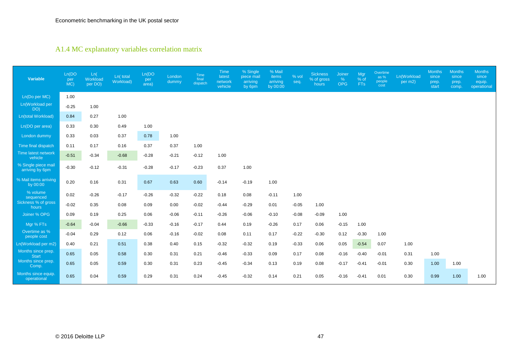### A1.4 MC explanatory variables correlation matrix

| Variable                               | Ln(DO)<br>per<br>MC) | Ln(<br>Workload<br>per DO) | Ln( total<br>Workload) | Ln(DO)<br>per<br>area) | London<br>dummy | Time<br>final<br>dispatch | <b>Time</b><br>latest<br>network<br>vehicle | % Single<br>piece mail<br>arriving<br>by 6pm | % Mail<br>items<br>arriving<br>by 00:00 | % vol<br>seq. | <b>Sickness</b><br>% of gross<br>hours | Joiner<br>%<br><b>OPG</b> | Mgr<br>$%$ of<br><b>FTs</b> | Overtime<br>as %<br>people<br>cost | Ln(Workload<br>per m2) | <b>Months</b><br>since<br>prep.<br>start | <b>Months</b><br>since<br>prep.<br>comp. | <b>Months</b><br>since<br>equip.<br>operational |
|----------------------------------------|----------------------|----------------------------|------------------------|------------------------|-----------------|---------------------------|---------------------------------------------|----------------------------------------------|-----------------------------------------|---------------|----------------------------------------|---------------------------|-----------------------------|------------------------------------|------------------------|------------------------------------------|------------------------------------------|-------------------------------------------------|
| Ln(Do per MC)                          | 1.00                 |                            |                        |                        |                 |                           |                                             |                                              |                                         |               |                                        |                           |                             |                                    |                        |                                          |                                          |                                                 |
| Ln(Workload per<br>DO)                 | $-0.25$              | 1.00                       |                        |                        |                 |                           |                                             |                                              |                                         |               |                                        |                           |                             |                                    |                        |                                          |                                          |                                                 |
| Ln(total Workload)                     | 0.84                 | 0.27                       | 1.00                   |                        |                 |                           |                                             |                                              |                                         |               |                                        |                           |                             |                                    |                        |                                          |                                          |                                                 |
| Ln(DO per area)                        | 0.33                 | 0.30                       | 0.49                   | 1.00                   |                 |                           |                                             |                                              |                                         |               |                                        |                           |                             |                                    |                        |                                          |                                          |                                                 |
| London dummy                           | 0.33                 | 0.03                       | 0.37                   | 0.78                   | 1.00            |                           |                                             |                                              |                                         |               |                                        |                           |                             |                                    |                        |                                          |                                          |                                                 |
| Time final dispatch                    | 0.11                 | 0.17                       | 0.16                   | 0.37                   | 0.37            | 1.00                      |                                             |                                              |                                         |               |                                        |                           |                             |                                    |                        |                                          |                                          |                                                 |
| Time latest network<br>vehicle         | $-0.51$              | $-0.34$                    | $-0.68$                | $-0.28$                | $-0.21$         | $-0.12$                   | 1.00                                        |                                              |                                         |               |                                        |                           |                             |                                    |                        |                                          |                                          |                                                 |
| % Single piece mail<br>arriving by 6pm | $-0.30$              | $-0.12$                    | $-0.31$                | $-0.28$                | $-0.17$         | $-0.23$                   | 0.37                                        | 1.00                                         |                                         |               |                                        |                           |                             |                                    |                        |                                          |                                          |                                                 |
| % Mail items arriving<br>by 00:00      | 0.20                 | 0.16                       | 0.31                   | 0.67                   | 0.63            | 0.60                      | $-0.14$                                     | $-0.19$                                      | 1.00                                    |               |                                        |                           |                             |                                    |                        |                                          |                                          |                                                 |
| % volume<br>sequenced                  | 0.02                 | $-0.26$                    | $-0.17$                | $-0.26$                | $-0.32$         | $-0.22$                   | 0.18                                        | 0.08                                         | $-0.11$                                 | 1.00          |                                        |                           |                             |                                    |                        |                                          |                                          |                                                 |
| Sickness % of gross<br>hours           | $-0.02$              | 0.35                       | 0.08                   | 0.09                   | 0.00            | $-0.02$                   | $-0.44$                                     | $-0.29$                                      | 0.01                                    | $-0.05$       | 1.00                                   |                           |                             |                                    |                        |                                          |                                          |                                                 |
| Joiner % OPG                           | 0.09                 | 0.19                       | 0.25                   | 0.06                   | $-0.06$         | $-0.11$                   | $-0.26$                                     | $-0.06$                                      | $-0.10$                                 | $-0.08$       | $-0.09$                                | 1.00                      |                             |                                    |                        |                                          |                                          |                                                 |
| Mgr % FTs                              | $-0.64$              | $-0.04$                    | $-0.66$                | $-0.33$                | $-0.16$         | $-0.17$                   | 0.44                                        | 0.19                                         | $-0.26$                                 | 0.17          | 0.06                                   | $-0.15$                   | 1.00                        |                                    |                        |                                          |                                          |                                                 |
| Overtime as %<br>people cost           | $-0.04$              | 0.29                       | 0.12                   | 0.06                   | $-0.16$         | $-0.02$                   | 0.08                                        | 0.11                                         | 0.17                                    | $-0.22$       | $-0.30$                                | 0.12                      | $-0.30$                     | 1.00                               |                        |                                          |                                          |                                                 |
| Ln(Workload per m2)                    | 0.40                 | 0.21                       | 0.51                   | 0.38                   | 0.40            | 0.15                      | $-0.32$                                     | $-0.32$                                      | 0.19                                    | $-0.33$       | 0.06                                   | 0.05                      | $-0.54$                     | 0.07                               | 1.00                   |                                          |                                          |                                                 |
| Months since prep.<br><b>Start</b>     | 0.65                 | 0.05                       | 0.58                   | 0.30                   | 0.31            | 0.21                      | $-0.46$                                     | $-0.33$                                      | 0.09                                    | 0.17          | 0.08                                   | $-0.16$                   | $-0.40$                     | $-0.01$                            | 0.31                   | 1.00                                     |                                          |                                                 |
| Months since prep.<br>Comp.            | 0.65                 | 0.05                       | 0.59                   | 0.30                   | 0.31            | 0.23                      | $-0.45$                                     | $-0.34$                                      | 0.13                                    | 0.19          | 0.08                                   | $-0.17$                   | $-0.41$                     | $-0.01$                            | 0.30                   | 1.00                                     | 1.00                                     |                                                 |
| Months since equip.<br>operational     | 0.65                 | 0.04                       | 0.59                   | 0.29                   | 0.31            | 0.24                      | $-0.45$                                     | $-0.32$                                      | 0.14                                    | 0.21          | 0.05                                   | $-0.16$                   | $-0.41$                     | 0.01                               | 0.30                   | 0.99                                     | 1.00                                     | 1.00                                            |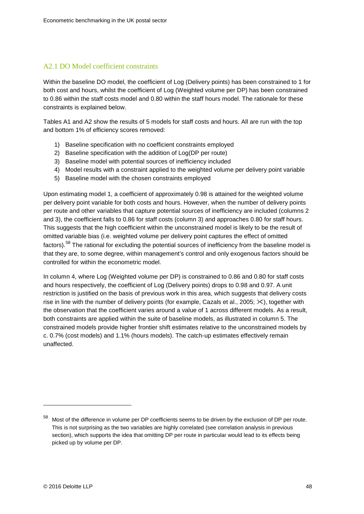#### A2.1 DO Model coefficient constraints

Within the baseline DO model, the coefficient of Log (Delivery points) has been constrained to 1 for both cost and hours, whilst the coefficient of Log (Weighted volume per DP) has been constrained to 0.86 within the staff costs model and 0.80 within the staff hours model. The rationale for these constraints is explained below.

Tables A1 and A2 show the results of 5 models for staff costs and hours. All are run with the top and bottom 1% of efficiency scores removed:

- 1) Baseline specification with no coefficient constraints employed
- 2) Baseline specification with the addition of Log(DP per route)
- 3) Baseline model with potential sources of inefficiency included
- 4) Model results with a constraint applied to the weighted volume per delivery point variable
- 5) Baseline model with the chosen constraints employed

Upon estimating model 1, a coefficient of approximately 0.98 is attained for the weighted volume per delivery point variable for both costs and hours. However, when the number of delivery points per route and other variables that capture potential sources of inefficiency are included (columns 2 and 3), the coefficient falls to 0.86 for staff costs (column 3) and approaches 0.80 for staff hours. This suggests that the high coefficient within the unconstrained model is likely to be the result of omitted variable bias (i.e. weighted volume per delivery point captures the effect of omitted factors).<sup>[58](#page-47-0)</sup> The rational for excluding the potential sources of inefficiency from the baseline model is that they are, to some degree, within management's control and only exogenous factors should be controlled for within the econometric model.

In column 4, where Log (Weighted volume per DP) is constrained to 0.86 and 0.80 for staff costs and hours respectively, the coefficient of Log (Delivery points) drops to 0.98 and 0.97. A unit restriction is justified on the basis of previous work in this area, which suggests that delivery costs rise in line with the number of delivery points (for example, Cazals et al., 2005;  $\gg$ ), together with the observation that the coefficient varies around a value of 1 across different models. As a result, both constraints are applied within the suite of baseline models, as illustrated in column 5. The constrained models provide higher frontier shift estimates relative to the unconstrained models by c. 0.7% (cost models) and 1.1% (hours models). The catch-up estimates effectively remain unaffected.

<span id="page-47-0"></span><sup>58</sup> Most of the difference in volume per DP coefficients seems to be driven by the exclusion of DP per route. This is not surprising as the two variables are highly correlated (see correlation analysis in previous section), which supports the idea that omitting DP per route in particular would lead to its effects being picked up by volume per DP.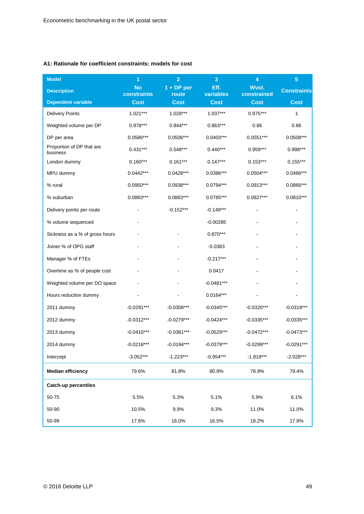#### **A1: Rationale for coefficient constraints: models for cost**

| <b>Model</b>                          | 1                        | $\overline{2}$        | 3                 | $\overline{\mathbf{4}}$ | $\overline{\mathbf{5}}$ |
|---------------------------------------|--------------------------|-----------------------|-------------------|-------------------------|-------------------------|
| <b>Description</b>                    | <b>No</b><br>constraints | $1 + DP$ per<br>route | Eff.<br>variables | Wvol.<br>constrained    | <b>Constraints</b>      |
| Dependent variable                    | <b>Cost</b>              | <b>Cost</b>           | <b>Cost</b>       | <b>Cost</b>             | <b>Cost</b>             |
| <b>Delivery Points</b>                | $1.021***$               | 1.028***              | $1.037***$        | $0.975***$              | 1                       |
| Weighted volume per DP                | $0.978***$               | $0.844***$            | $0.863***$        | 0.86                    | 0.86                    |
| DP per area                           | 0.0586***                | $0.0506***$           | $0.0403***$       | $0.0551***$             | $0.0508***$             |
| Proportion of DP that are<br>business | $0.431***$               | $0.548***$            | $0.440***$        | 0.959***                | $0.998***$              |
| London dummy                          | $0.160***$               | $0.161***$            | $0.147***$        | $0.153***$              | $0.155***$              |
| MPU dummy                             | $0.0442***$              | 0.0428***             | 0.0386***         | $0.0504***$             | 0.0466***               |
| % rural                               | $0.0950***$              | 0.0938***             | 0.0794***         | $0.0913***$             | 0.0866 ***              |
| % suburban                            | 0.0883***                | $0.0883***$           | $0.0785***$       | $0.0827***$             | $0.0810***$             |
| Delivery points per route             |                          | $-0.152***$           | $-0.149***$       |                         |                         |
| % volume sequenced                    |                          |                       | $-0.00285$        |                         |                         |
| Sickness as a % of gross hours        |                          |                       | $0.870***$        |                         |                         |
| Joiner % of OPG staff                 |                          |                       | $-0.0383$         |                         |                         |
| Manager % of FTEs                     |                          |                       | $-0.217***$       |                         |                         |
| Overtime as % of people cost          |                          |                       | 0.0417            |                         |                         |
| Weighted volume per DO space          |                          |                       | $-0.0481***$      |                         |                         |
| Hours reduction dummy                 |                          |                       | $0.0164***$       |                         |                         |
| 2011 dummy                            | $-0.0291***$             | $-0.0308***$          | $-0.0345***$      | $-0.0320***$            | $-0.0319***$            |
| 2012 dummy                            | $-0.0312***$             | $-0.0279***$          | $-0.0424***$      | $-0.0335***$            | $-0.0335***$            |
| 2013 dummy                            | $-0.0410***$             | $-0.0381***$          | $-0.0529***$      | $-0.0472***$            | $-0.0473***$            |
| 2014 dummy                            | $-0.0218***$             | $-0.0194***$          | $-0.0379***$      | $-0.0299***$            | $-0.0291***$            |
| Intercept                             | $-3.052***$              | $-1.223***$           | $-0.954***$       | $-1.819***$             | $-2.028***$             |
| <b>Median efficiency</b>              | 79.6%                    | 81.8%                 | 80.9%             | 78.9%                   | 79.4%                   |
| Catch-up percentiles                  |                          |                       |                   |                         |                         |
| 50-75                                 | 5.5%                     | 5.3%                  | 5.1%              | 5.9%                    | 6.1%                    |
| 50-90                                 | 10.5%                    | 9.9%                  | 9.3%              | 11.0%                   | 11.0%                   |
| 50-99                                 | 17.6%                    | 16.0%                 | 16.5%             | 18.2%                   | 17.8%                   |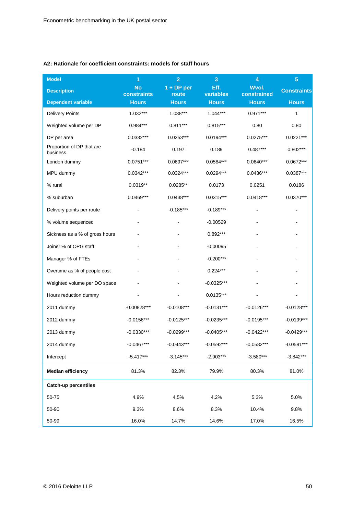#### **A2: Rationale for coefficient constraints: models for staff hours**

| <b>Model</b>                          | 1                        | $\overline{2}$        | 3                 | $\overline{\mathbf{4}}$ | $\overline{5}$     |
|---------------------------------------|--------------------------|-----------------------|-------------------|-------------------------|--------------------|
| <b>Description</b>                    | <b>No</b><br>constraints | $1 + DP$ per<br>route | Eff.<br>variables | Wvol.<br>constrained    | <b>Constraints</b> |
| <b>Dependent variable</b>             | <b>Hours</b>             | <b>Hours</b>          | <b>Hours</b>      | <b>Hours</b>            | <b>Hours</b>       |
| <b>Delivery Points</b>                | 1.032***                 | 1.038***              | $1.044***$        | $0.971***$              | 1                  |
| Weighted volume per DP                | 0.984***                 | $0.811***$            | $0.815***$        | 0.80                    | 0.80               |
| DP per area                           | 0.0332***                | $0.0253***$           | $0.0194***$       | $0.0275***$             | $0.0221***$        |
| Proportion of DP that are<br>business | $-0.184$                 | 0.197                 | 0.189             | $0.487***$              | $0.802***$         |
| London dummy                          | $0.0751***$              | $0.0697***$           | $0.0584***$       | $0.0640***$             | $0.0672***$        |
| MPU dummy                             | $0.0342***$              | 0.0324***             | $0.0294***$       | $0.0436***$             | $0.0387***$        |
| % rural                               | $0.0319**$               | $0.0285**$            | 0.0173            | 0.0251                  | 0.0186             |
| % suburban                            | 0.0469***                | $0.0438***$           | $0.0315***$       | $0.0418***$             | $0.0370***$        |
| Delivery points per route             |                          | $-0.185***$           | $-0.189***$       |                         | -                  |
| % volume sequenced                    |                          |                       | $-0.00529$        |                         |                    |
| Sickness as a % of gross hours        |                          |                       | $0.892***$        |                         |                    |
| Joiner % of OPG staff                 |                          |                       | $-0.00095$        |                         |                    |
| Manager % of FTEs                     |                          |                       | $-0.200***$       |                         |                    |
| Overtime as % of people cost          |                          |                       | $0.224***$        |                         |                    |
| Weighted volume per DO space          |                          |                       | $-0.0325***$      |                         |                    |
| Hours reduction dummy                 |                          |                       | $0.0135***$       |                         |                    |
| 2011 dummy                            | $-0.00828***$            | $-0.0108***$          | $-0.0131***$      | $-0.0126***$            | $-0.0128***$       |
| 2012 dummy                            | $-0.0156***$             | $-0.0125***$          | $-0.0235***$      | $-0.0195***$            | $-0.0199***$       |
| 2013 dummy                            | $-0.0330***$             | $-0.0299***$          | $-0.0405***$      | $-0.0422***$            | $-0.0429***$       |
| 2014 dummy                            | $-0.0467***$             | $-0.0443***$          | $-0.0592***$      | $-0.0582***$            | $-0.0581***$       |
| Intercept                             | $-5.417***$              | $-3.145***$           | $-2.903***$       | $-3.580***$             | $-3.842***$        |
| <b>Median efficiency</b>              | 81.3%                    | 82.3%                 | 79.9%             | 80.3%                   | 81.0%              |
| Catch-up percentiles                  |                          |                       |                   |                         |                    |
| 50-75                                 | 4.9%                     | 4.5%                  | 4.2%              | 5.3%                    | 5.0%               |
| 50-90                                 | 9.3%                     | 8.6%                  | 8.3%              | 10.4%                   | 9.8%               |
| 50-99                                 | 16.0%                    | 14.7%                 | 14.6%             | 17.0%                   | 16.5%              |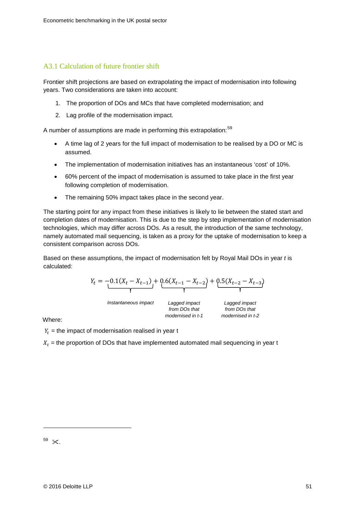#### A3.1 Calculation of future frontier shift

Frontier shift projections are based on extrapolating the impact of modernisation into following years. Two considerations are taken into account:

- 1. The proportion of DOs and MCs that have completed modernisation; and
- 2. Lag profile of the modernisation impact.

A number of assumptions are made in performing this extrapolation:<sup>[59](#page-50-0)</sup>

- A time lag of 2 years for the full impact of modernisation to be realised by a DO or MC is assumed.
- The implementation of modernisation initiatives has an instantaneous 'cost' of 10%.
- 60% percent of the impact of modernisation is assumed to take place in the first year following completion of modernisation.
- The remaining 50% impact takes place in the second year.

The starting point for any impact from these initiatives is likely to lie between the stated start and completion dates of modernisation. This is due to the step by step implementation of modernisation technologies, which may differ across DOs. As a result, the introduction of the same technology, namely automated mail sequencing, is taken as a proxy for the uptake of modernisation to keep a consistent comparison across DOs.

Based on these assumptions, the impact of modernisation felt by Royal Mail DOs in year *t* is calculated:

$$
Y_t = -0.1(X_t - X_{t-1}) + 0.6(X_{t-1} - X_{t-2}) + 0.5(X_{t-2} - X_{t-3})
$$

*Instantaneous impact Lagged impact* 

*from DOs that modernised in t-1*

*Lagged impact from DOs that modernised in t-2*

Where:

 $Y_t$  = the impact of modernisation realised in year t

<span id="page-50-0"></span> $X_t$  = the proportion of DOs that have implemented automated mail sequencing in year t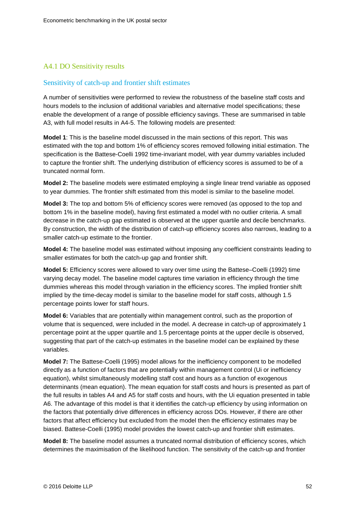#### A4.1 DO Sensitivity results

#### Sensitivity of catch-up and frontier shift estimates

A number of sensitivities were performed to review the robustness of the baseline staff costs and hours models to the inclusion of additional variables and alternative model specifications; these enable the development of a range of possible efficiency savings. These are summarised in table A3, with full model results in A4-5. The following models are presented:

**Model 1**: This is the baseline model discussed in the main sections of this report. This was estimated with the top and bottom 1% of efficiency scores removed following initial estimation. The specification is the Battese-Coelli 1992 time-invariant model, with year dummy variables included to capture the frontier shift. The underlying distribution of efficiency scores is assumed to be of a truncated normal form.

**Model 2:** The baseline models were estimated employing a single linear trend variable as opposed to year dummies. The frontier shift estimated from this model is similar to the baseline model.

**Model 3:** The top and bottom 5% of efficiency scores were removed (as opposed to the top and bottom 1% in the baseline model), having first estimated a model with no outlier criteria. A small decrease in the catch-up gap estimated is observed at the upper quartile and decile benchmarks. By construction, the width of the distribution of catch-up efficiency scores also narrows, leading to a smaller catch-up estimate to the frontier.

**Model 4:** The baseline model was estimated without imposing any coefficient constraints leading to smaller estimates for both the catch-up gap and frontier shift.

**Model 5:** Efficiency scores were allowed to vary over time using the Battese–Coelli (1992) time varying decay model. The baseline model captures time variation in efficiency through the time dummies whereas this model through variation in the efficiency scores. The implied frontier shift implied by the time-decay model is similar to the baseline model for staff costs, although 1.5 percentage points lower for staff hours.

**Model 6:** Variables that are potentially within management control, such as the proportion of volume that is sequenced, were included in the model. A decrease in catch-up of approximately 1 percentage point at the upper quartile and 1.5 percentage points at the upper decile is observed, suggesting that part of the catch-up estimates in the baseline model can be explained by these variables.

**Model 7:** The Battese-Coelli (1995) model allows for the inefficiency component to be modelled directly as a function of factors that are potentially within management control (Ui or inefficiency equation), whilst simultaneously modelling staff cost and hours as a function of exogenous determinants (mean equation). The mean equation for staff costs and hours is presented as part of the full results in tables A4 and A5 for staff costs and hours, with the Ui equation presented in table A6. The advantage of this model is that it identifies the catch-up efficiency by using information on the factors that potentially drive differences in efficiency across DOs. However, if there are other factors that affect efficiency but excluded from the model then the efficiency estimates may be biased. Battese-Coelli (1995) model provides the lowest catch-up and frontier shift estimates.

**Model 8:** The baseline model assumes a truncated normal distribution of efficiency scores, which determines the maximisation of the likelihood function. The sensitivity of the catch-up and frontier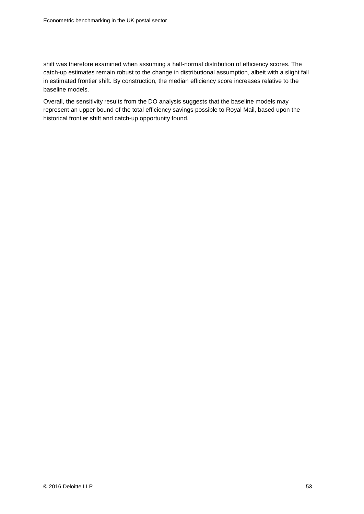shift was therefore examined when assuming a half-normal distribution of efficiency scores. The catch-up estimates remain robust to the change in distributional assumption, albeit with a slight fall in estimated frontier shift. By construction, the median efficiency score increases relative to the baseline models.

Overall, the sensitivity results from the DO analysis suggests that the baseline models may represent an upper bound of the total efficiency savings possible to Royal Mail, based upon the historical frontier shift and catch-up opportunity found.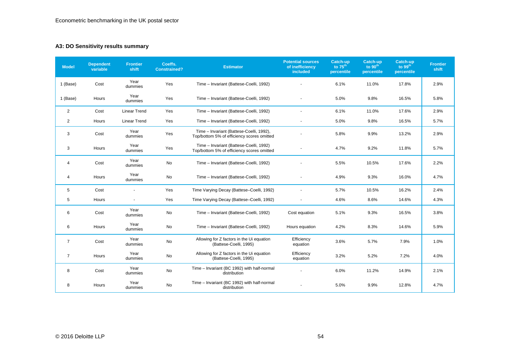#### **A3: DO Sensitivity results summary**

| <b>Model</b>   | <b>Dependent</b><br>variable | <b>Frontier</b><br>shift | Coeffs.<br><b>Constrained?</b> | <b>Estimator</b>                                                                       | <b>Potential sources</b><br>of inefficiency<br><i>included</i> | Catch-up<br>to $75th$<br>percentile | Catch-up<br>to $90th$<br>percentile | Catch-up<br>to $99th$<br>percentile | <b>Frontier</b><br>shift |
|----------------|------------------------------|--------------------------|--------------------------------|----------------------------------------------------------------------------------------|----------------------------------------------------------------|-------------------------------------|-------------------------------------|-------------------------------------|--------------------------|
| 1 (Base)       | Cost                         | Year<br>dummies          | Yes                            | Time - Invariant (Battese-Coelli, 1992)                                                |                                                                | 6.1%                                | 11.0%                               | 17.8%                               | 2.9%                     |
| 1 (Base)       | Hours                        | Year<br>dummies          | Yes                            | Time - Invariant (Battese-Coelli, 1992)                                                |                                                                | 5.0%                                | 9.8%                                | 16.5%                               | 5.8%                     |
| 2              | Cost                         | <b>Linear Trend</b>      | Yes                            | Time - Invariant (Battese-Coelli, 1992)                                                |                                                                | 6.1%                                | 11.0%                               | 17.6%                               | 2.9%                     |
| $\overline{2}$ | Hours                        | <b>Linear Trend</b>      | Yes                            | Time - Invariant (Battese-Coelli, 1992)                                                |                                                                | 5.0%                                | 9.8%                                | 16.5%                               | 5.7%                     |
| 3              | Cost                         | Year<br>dummies          | Yes                            | Time - Invariant (Battese-Coelli, 1992),<br>Top/bottom 5% of efficiency scores omitted |                                                                | 5.8%                                | 9.9%                                | 13.2%                               | 2.9%                     |
| 3              | Hours                        | Year<br>dummies          | Yes                            | Time - Invariant (Battese-Coelli, 1992)<br>Top/bottom 5% of efficiency scores omitted  |                                                                | 4.7%                                | 9.2%                                | 11.8%                               | 5.7%                     |
| 4              | Cost                         | Year<br>dummies          | No                             | Time - Invariant (Battese-Coelli, 1992)                                                |                                                                | 5.5%                                | 10.5%                               | 17.6%                               | 2.2%                     |
| 4              | Hours                        | Year<br>dummies          | No                             | Time - Invariant (Battese-Coelli, 1992)                                                |                                                                | 4.9%                                | 9.3%                                | 16.0%                               | 4.7%                     |
| 5              | Cost                         |                          | Yes                            | Time Varying Decay (Battese-Coelli, 1992)                                              |                                                                | 5.7%                                | 10.5%                               | 16.2%                               | 2.4%                     |
| 5              | Hours                        | $\overline{\phantom{a}}$ | Yes                            | Time Varying Decay (Battese-Coelli, 1992)                                              |                                                                | 4.6%                                | 8.6%                                | 14.6%                               | 4.3%                     |
| 6              | Cost                         | Year<br>dummies          | No                             | Time - Invariant (Battese-Coelli, 1992)                                                | Cost equation                                                  | 5.1%                                | 9.3%                                | 16.5%                               | 3.8%                     |
| 6              | Hours                        | Year<br>dummies          | No                             | Time - Invariant (Battese-Coelli, 1992)                                                | Hours equation                                                 | 4.2%                                | 8.3%                                | 14.6%                               | 5.9%                     |
| $\overline{7}$ | Cost                         | Year<br>dummies          | No                             | Allowing for Z factors in the Ui equation<br>(Battese-Coelli, 1995)                    | Efficiency<br>equation                                         | 3.6%                                | 5.7%                                | 7.9%                                | 1.0%                     |
| $\overline{7}$ | Hours                        | Year<br>dummies          | No                             | Allowing for Z factors in the Ui equation<br>(Battese-Coelli, 1995)                    | Efficiency<br>equation                                         | 3.2%                                | 5.2%                                | 7.2%                                | 4.0%                     |
| 8              | Cost                         | Year<br>dummies          | No                             | Time - Invariant (BC 1992) with half-normal<br>distribution                            |                                                                | 6.0%                                | 11.2%                               | 14.9%                               | 2.1%                     |
| 8              | Hours                        | Year<br>dummies          | No                             | Time - Invariant (BC 1992) with half-normal<br>distribution                            |                                                                | 5.0%                                | 9.9%                                | 12.8%                               | 4.7%                     |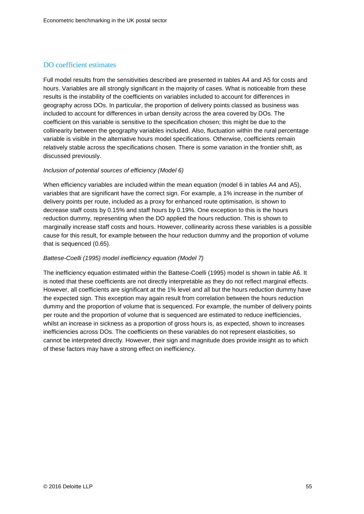#### DO coefficient estimates

Full model results from the sensitivities described are presented in tables A4 and A5 for costs and hours. Variables are all strongly significant in the majority of cases. What is noticeable from these results is the instability of the coefficients on variables included to account for differences in geography across DOs. In particular, the proportion of delivery points classed as business was included to account for differences in urban density across the area covered by DOs. The coefficient on this variable is sensitive to the specification chosen; this might be due to the collinearity between the geography variables included. Also, fluctuation within the rural percentage variable is visible in the alternative hours model specifications. Otherwise, coefficients remain relatively stable across the specifications chosen. There is some variation in the frontier shift, as discussed previously.

#### *Inclusion of potential sources of efficiency (Model 6)*

When efficiency variables are included within the mean equation (model 6 in tables A4 and A5), variables that are significant have the correct sign. For example, a 1% increase in the number of delivery points per route, included as a proxy for enhanced route optimisation, is shown to decrease staff costs by 0.15% and staff hours by 0.19%. One exception to this is the hours reduction dummy, representing when the DO applied the hours reduction. This is shown to marginally increase staff costs and hours. However, collinearity across these variables is a possible cause for this result, for example between the hour reduction dummy and the proportion of volume that is sequenced (0.65).

#### *Battese-Coelli (1995) model inefficiency equation (Model 7)*

The inefficiency equation estimated within the Battese-Coelli (1995) model is shown in table A6. It is noted that these coefficients are not directly interpretable as they do not reflect marginal effects. However, all coefficients are significant at the 1% level and all but the hours reduction dummy have the expected sign. This exception may again result from correlation between the hours reduction dummy and the proportion of volume that is sequenced. For example, the number of delivery points per route and the proportion of volume that is sequenced are estimated to reduce inefficiencies, whilst an increase in sickness as a proportion of gross hours is, as expected, shown to increases inefficiencies across DOs. The coefficients on these variables do not represent elasticities, so cannot be interpreted directly. However, their sign and magnitude does provide insight as to which of these factors may have a strong effect on inefficiency.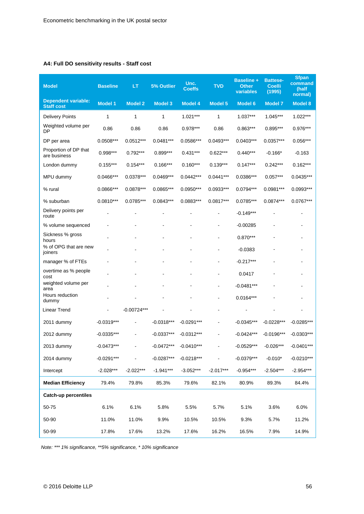#### **A4: Full DO sensitivity results - Staff cost**

| <b>Model</b>                                    | <b>Baseline</b> | LT             | 5% Outlier     | Unc.<br><b>Coeffs</b> | <b>TVD</b>     | <b>Baseline +</b><br><b>Other</b><br>variables | <b>Battese-</b><br><b>Coelli</b><br>(1995) | <b>Sfpan</b><br>command<br>(half<br>normal) |
|-------------------------------------------------|-----------------|----------------|----------------|-----------------------|----------------|------------------------------------------------|--------------------------------------------|---------------------------------------------|
| <b>Dependent variable:</b><br><b>Staff cost</b> | <b>Model 1</b>  | <b>Model 2</b> | <b>Model 3</b> | <b>Model 4</b>        | <b>Model 5</b> | <b>Model 6</b>                                 | <b>Model 7</b>                             | <b>Model 8</b>                              |
| <b>Delivery Points</b>                          | 1               | $\mathbf{1}$   | 1              | $1.021***$            | 1              | $1.037***$                                     | $1.045***$                                 | $1.022***$                                  |
| Weighted volume per<br>DP                       | 0.86            | 0.86           | 0.86           | $0.978***$            | 0.86           | $0.863***$                                     | $0.895***$                                 | $0.976***$                                  |
| DP per area                                     | 0.0508***       | $0.0512***$    | $0.0481***$    | 0.0586***             | $0.0493***$    | $0.0403***$                                    | $0.0357***$                                | $0.056***$                                  |
| Proportion of DP that<br>are business           | $0.998***$      | $0.792***$     | $0.899***$     | $0.431***$            | $0.622***$     | $0.440***$                                     | $-0.166*$                                  | $-0.163$                                    |
| London dummy                                    | $0.155***$      | $0.154***$     | $0.166***$     | $0.160***$            | $0.139***$     | $0.147***$                                     | $0.242***$                                 | $0.162***$                                  |
| MPU dummy                                       | 0.0466***       | $0.0378***$    | $0.0469***$    | $0.0442***$           | $0.0441***$    | 0.0386***                                      | $0.057***$                                 | $0.0435***$                                 |
| % rural                                         | 0.0866***       | 0.0878***      | $0.0865***$    | $0.0950***$           | 0.0933***      | $0.0794***$                                    | 0.0981***                                  | $0.0993***$                                 |
| % suburban                                      | $0.0810***$     | $0.0785***$    | $0.0843***$    | $0.0883***$           | $0.0817***$    | $0.0785***$                                    | $0.0874***$                                | $0.0767***$                                 |
| Delivery points per<br>route                    |                 |                |                |                       |                | $-0.149***$                                    |                                            |                                             |
| % volume sequenced                              |                 |                |                |                       |                | $-0.00285$                                     |                                            |                                             |
| Sickness % gross<br>hours                       |                 |                |                |                       |                | $0.870***$                                     |                                            |                                             |
| % of OPG that are new<br>joiners                |                 |                |                |                       |                | $-0.0383$                                      |                                            |                                             |
| manager % of FTEs                               |                 |                |                |                       |                | $-0.217***$                                    |                                            |                                             |
| overtime as % people<br>cost                    |                 |                |                |                       |                | 0.0417                                         |                                            |                                             |
| weighted volume per<br>area                     |                 |                |                |                       |                | $-0.0481***$                                   |                                            |                                             |
| Hours reduction<br>dummy                        |                 |                |                |                       |                | $0.0164***$                                    |                                            |                                             |
| Linear Trend                                    |                 | $-0.00724***$  |                |                       | $\blacksquare$ |                                                |                                            |                                             |
| 2011 dummy                                      | $-0.0319***$    |                | $-0.0318***$   | $-0.0291***$          |                | $-0.0345***$                                   | $-0.0228***$                               | $-0.0285***$                                |
| 2012 dummy                                      | $-0.0335***$    |                | $-0.0337***$   | $-0.0312***$          |                | $-0.0424***$                                   | $-0.0196***$                               | $-0.0303***$                                |
| 2013 dummy                                      | $-0.0473***$    |                | $-0.0472***$   | $-0.0410***$          |                | $-0.0529***$                                   | $-0.026***$                                | $-0.0401***$                                |
| 2014 dummy                                      | $-0.0291***$    |                | $-0.0287***$   | $-0.0218***$          |                | $-0.0379***$                                   | $-0.010*$                                  | $-0.0210***$                                |
| Intercept                                       | $-2.028***$     | $-2.022***$    | $-1.941***$    | $-3.052***$           | $-2.017***$    | $-0.954***$                                    | $-2.504***$                                | $-2.954***$                                 |
| <b>Median Efficiency</b>                        | 79.4%           | 79.8%          | 85.3%          | 79.6%                 | 82.1%          | 80.9%                                          | 89.3%                                      | 84.4%                                       |
| <b>Catch-up percentiles</b>                     |                 |                |                |                       |                |                                                |                                            |                                             |
| 50-75                                           | 6.1%            | 6.1%           | 5.8%           | 5.5%                  | 5.7%           | 5.1%                                           | 3.6%                                       | 6.0%                                        |
| 50-90                                           | 11.0%           | 11.0%          | 9.9%           | 10.5%                 | 10.5%          | 9.3%                                           | 5.7%                                       | 11.2%                                       |
| 50-99                                           | 17.8%           | 17.6%          | 13.2%          | 17.6%                 | 16.2%          | 16.5%                                          | 7.9%                                       | 14.9%                                       |

*Note: \*\*\* 1% significance, \*\*5% significance, \* 10% significance*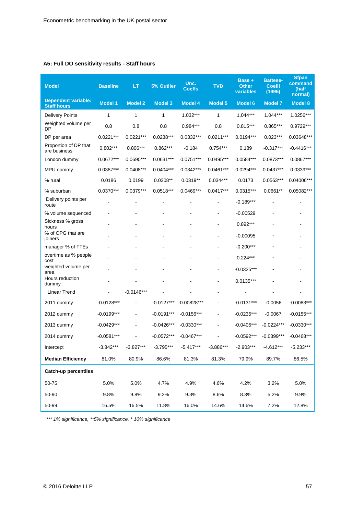#### **A5: Full DO sensitivity results - Staff hours**

| <b>Model</b>                                     | <b>Baseline</b> | LT             | 5% Outlier     | Unc.<br><b>Coeffs</b> | <b>TVD</b>     | Base +<br><b>Other</b><br>variables | <b>Battese-</b><br><b>Coelli</b><br>(1995) | <b>Sfpan</b><br>command<br>(half<br>normal) |
|--------------------------------------------------|-----------------|----------------|----------------|-----------------------|----------------|-------------------------------------|--------------------------------------------|---------------------------------------------|
| <b>Dependent variable:</b><br><b>Staff hours</b> | <b>Model 1</b>  | <b>Model 2</b> | <b>Model 3</b> | <b>Model 4</b>        | <b>Model 5</b> | <b>Model 6</b>                      | <b>Model 7</b>                             | <b>Model 8</b>                              |
| <b>Delivery Points</b>                           | 1               | 1              | 1              | $1.032***$            | 1              | $1.044***$                          | $1.044***$                                 | 1.0256***                                   |
| Weighted volume per<br>DP                        | 0.8             | 0.8            | 0.8            | 0.984***              | 0.8            | $0.815***$                          | $0.865***$                                 | $0.9729***$                                 |
| DP per area                                      | $0.0221***$     | $0.0221***$    | $0.0238***$    | 0.0332***             | $0.0211***$    | $0.0194***$                         | $0.023***$                                 | $0.03648***$                                |
| Proportion of DP that<br>are business            | $0.802***$      | $0.806***$     | $0.862***$     | $-0.184$              | $0.754***$     | 0.189                               | $-0.317***$                                | $-0.4416***$                                |
| London dummy                                     | $0.0672***$     | $0.0690***$    | 0.0631***      | $0.0751***$           | 0.0495***      | 0.0584***                           | 0.0873***                                  | 0.0867***                                   |
| MPU dummy                                        | 0.0387***       | $0.0408***$    | $0.0404***$    | $0.0342***$           | $0.0461***$    | $0.0294***$                         | $0.0437***$                                | $0.0339***$                                 |
| % rural                                          | 0.0186          | 0.0199         | $0.0308**$     | $0.0319**$            | $0.0344**$     | 0.0173                              | $0.0563***$                                | 0.04006***                                  |
| % suburban                                       | $0.0370***$     | $0.0379***$    | $0.0518***$    | $0.0469***$           | $0.0417***$    | $0.0315***$                         | $0.0661**$                                 | $0.05082***$                                |
| Delivery points per<br>route                     |                 |                |                |                       |                | $-0.189***$                         |                                            |                                             |
| % volume sequenced                               |                 |                |                |                       |                | $-0.00529$                          |                                            |                                             |
| Sickness % gross<br>hours                        |                 |                |                |                       |                | $0.892***$                          |                                            |                                             |
| % of OPG that are<br>joiners                     |                 |                |                |                       |                | $-0.00095$                          |                                            |                                             |
| manager % of FTEs                                |                 |                |                |                       |                | $-0.200***$                         |                                            |                                             |
| overtime as % people<br>cost                     |                 |                |                |                       |                | $0.224***$                          |                                            |                                             |
| weighted volume per<br>area                      |                 |                |                |                       |                | $-0.0325***$                        |                                            |                                             |
| Hours reduction<br>dummy                         |                 |                |                |                       | $\blacksquare$ | $0.0135***$                         |                                            |                                             |
| Linear Trend                                     |                 | $-0.0146***$   |                |                       |                |                                     |                                            |                                             |
| 2011 dummy                                       | $-0.0128***$    |                | $-0.0127***$   | $-0.00828***$         |                | $-0.0131***$                        | $-0.0056$                                  | $-0.0083***$                                |
| 2012 dummy                                       | $-0.0199***$    |                | $-0.0191***$   | $-0.0156***$          |                | $-0.0235***$                        | $-0.0067$                                  | $-0.0155***$                                |
| 2013 dummy                                       | $-0.0429***$    |                | $-0.0426***$   | $-0.0330***$          |                | $-0.0405***$                        | $-0.0224***$                               | $-0.0330***$                                |
| 2014 dummy                                       | $-0.0581***$    |                | $-0.0572***$   | $-0.0467***$          |                | $-0.0592***$                        | $-0.0399***$                               | $-0.0468***$                                |
| Intercept                                        | $-3.842***$     | $-3.827***$    | $-3.795***$    | $-5.417***$           | $-3.886***$    | $-2.903***$                         | $-4.612***$                                | $-5.233***$                                 |
| <b>Median Efficiency</b>                         | 81.0%           | 80.9%          | 86.6%          | 81.3%                 | 81.3%          | 79.9%                               | 89.7%                                      | 86.5%                                       |
| <b>Catch-up percentiles</b>                      |                 |                |                |                       |                |                                     |                                            |                                             |
| 50-75                                            | 5.0%            | 5.0%           | 4.7%           | 4.9%                  | 4.6%           | 4.2%                                | 3.2%                                       | 5.0%                                        |
| 50-90                                            | 9.8%            | 9.8%           | 9.2%           | 9.3%                  | 8.6%           | 8.3%                                | 5.2%                                       | 9.9%                                        |
| 50-99                                            | 16.5%           | 16.5%          | 11.8%          | 16.0%                 | 14.6%          | 14.6%                               | 7.2%                                       | 12.8%                                       |

*\*\*\* 1% significance, \*\*5% significance, \* 10% significance*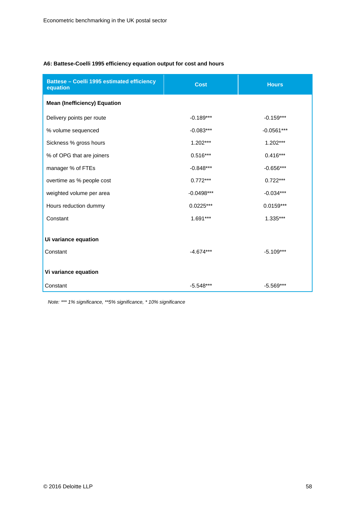#### **A6: Battese-Coelli 1995 efficiency equation output for cost and hours**

| Battese - Coelli 1995 estimated efficiency<br>equation | <b>Cost</b>  | <b>Hours</b> |
|--------------------------------------------------------|--------------|--------------|
| <b>Mean (Inefficiency) Equation</b>                    |              |              |
| Delivery points per route                              | $-0.189***$  | $-0.159***$  |
| % volume sequenced                                     | $-0.083***$  | $-0.0561***$ |
| Sickness % gross hours                                 | $1.202***$   | $1.202***$   |
| % of OPG that are joiners                              | $0.516***$   | $0.416***$   |
| manager % of FTEs                                      | $-0.848***$  | $-0.656***$  |
| overtime as % people cost                              | $0.772***$   | $0.722***$   |
| weighted volume per area                               | $-0.0498***$ | $-0.034***$  |
| Hours reduction dummy                                  | $0.0225***$  | $0.0159***$  |
| Constant                                               | 1.691***     | 1.335***     |
| Ui variance equation<br>Constant                       | $-4.674***$  | $-5.109***$  |
| Vi variance equation<br>Constant                       | $-5.548***$  | $-5.569***$  |

*Note: \*\*\* 1% significance, \*\*5% significance, \* 10% significance*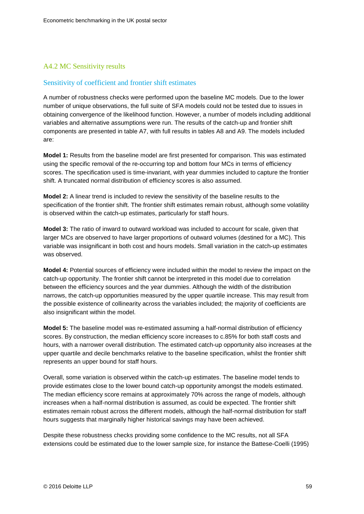#### A4.2 MC Sensitivity results

#### Sensitivity of coefficient and frontier shift estimates

A number of robustness checks were performed upon the baseline MC models. Due to the lower number of unique observations, the full suite of SFA models could not be tested due to issues in obtaining convergence of the likelihood function. However, a number of models including additional variables and alternative assumptions were run. The results of the catch-up and frontier shift components are presented in table A7, with full results in tables A8 and A9. The models included are:

**Model 1:** Results from the baseline model are first presented for comparison. This was estimated using the specific removal of the re-occurring top and bottom four MCs in terms of efficiency scores. The specification used is time-invariant, with year dummies included to capture the frontier shift. A truncated normal distribution of efficiency scores is also assumed.

**Model 2:** A linear trend is included to review the sensitivity of the baseline results to the specification of the frontier shift. The frontier shift estimates remain robust, although some volatility is observed within the catch-up estimates, particularly for staff hours.

**Model 3:** The ratio of inward to outward workload was included to account for scale, given that larger MCs are observed to have larger proportions of outward volumes (destined for a MC). This variable was insignificant in both cost and hours models. Small variation in the catch-up estimates was observed.

**Model 4:** Potential sources of efficiency were included within the model to review the impact on the catch-up opportunity. The frontier shift cannot be interpreted in this model due to correlation between the efficiency sources and the year dummies. Although the width of the distribution narrows, the catch-up opportunities measured by the upper quartile increase. This may result from the possible existence of collinearity across the variables included; the majority of coefficients are also insignificant within the model.

**Model 5:** The baseline model was re-estimated assuming a half-normal distribution of efficiency scores. By construction, the median efficiency score increases to c.85% for both staff costs and hours, with a narrower overall distribution. The estimated catch-up opportunity also increases at the upper quartile and decile benchmarks relative to the baseline specification, whilst the frontier shift represents an upper bound for staff hours.

Overall, some variation is observed within the catch-up estimates. The baseline model tends to provide estimates close to the lower bound catch-up opportunity amongst the models estimated. The median efficiency score remains at approximately 70% across the range of models, although increases when a half-normal distribution is assumed, as could be expected. The frontier shift estimates remain robust across the different models, although the half-normal distribution for staff hours suggests that marginally higher historical savings may have been achieved.

Despite these robustness checks providing some confidence to the MC results, not all SFA extensions could be estimated due to the lower sample size, for instance the Battese-Coelli (1995)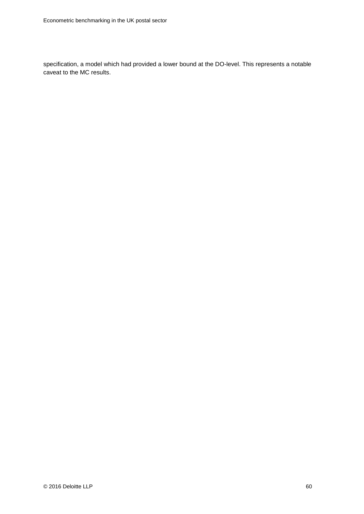specification, a model which had provided a lower bound at the DO-level. This represents a notable caveat to the MC results.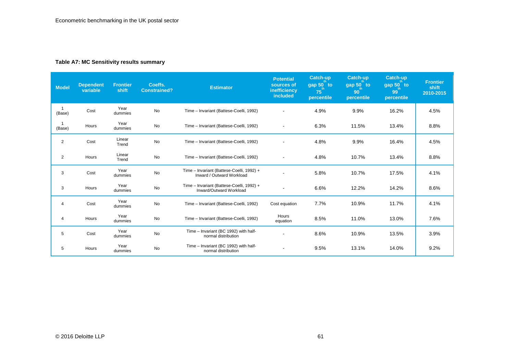#### **Table A7: MC Sensitivity results summary**

| Model                  | <b>Dependent</b><br>variable | <b>Frontier</b><br>shift | Coeffs.<br><b>Constrained?</b> | <b>Estimator</b>                                                       | <b>Potential</b><br>sources of<br>inefficiency<br><i>included</i> | <b>Catch-up</b><br>gap $50^\circ$ to<br>$75^\degree$<br>percentile | <b>Catch-up</b><br>gap 50 to<br>$90^{\circ}$<br>percentile | Catch-up<br>gap 50 to<br>99<br>percentile | <b>Frontier</b><br>shift<br>2010-2015 |
|------------------------|------------------------------|--------------------------|--------------------------------|------------------------------------------------------------------------|-------------------------------------------------------------------|--------------------------------------------------------------------|------------------------------------------------------------|-------------------------------------------|---------------------------------------|
| $\mathbf{1}$<br>(Base) | Cost                         | Year<br>dummies          | <b>No</b>                      | Time - Invariant (Battese-Coelli, 1992)                                |                                                                   | 4.9%                                                               | 9.9%                                                       | 16.2%                                     | 4.5%                                  |
| (Base)                 | Hours                        | Year<br>dummies          | <b>No</b>                      | Time - Invariant (Battese-Coelli, 1992)                                | $\blacksquare$                                                    | 6.3%                                                               | 11.5%                                                      | 13.4%                                     | 8.8%                                  |
| $\overline{2}$         | Cost                         | Linear<br>Trend          | No                             | Time - Invariant (Battese-Coelli, 1992)                                |                                                                   | 4.8%                                                               | 9.9%                                                       | 16.4%                                     | 4.5%                                  |
| 2                      | Hours                        | Linear<br>Trend          | No                             | Time - Invariant (Battese-Coelli, 1992)                                | $\overline{a}$                                                    | 4.8%                                                               | 10.7%                                                      | 13.4%                                     | 8.8%                                  |
| 3                      | Cost                         | Year<br>dummies          | No                             | Time - Invariant (Battese-Coelli, 1992) +<br>Inward / Outward Workload |                                                                   | 5.8%                                                               | 10.7%                                                      | 17.5%                                     | 4.1%                                  |
| 3                      | Hours                        | Year<br>dummies          | No                             | Time - Invariant (Battese-Coelli, 1992) +<br>Inward/Outward Workload   |                                                                   | 6.6%                                                               | 12.2%                                                      | 14.2%                                     | 8.6%                                  |
| 4                      | Cost                         | Year<br>dummies          | <b>No</b>                      | Time - Invariant (Battese-Coelli, 1992)                                | Cost equation                                                     | 7.7%                                                               | 10.9%                                                      | 11.7%                                     | 4.1%                                  |
| 4                      | Hours                        | Year<br>dummies          | No                             | Time - Invariant (Battese-Coelli, 1992)                                | Hours<br>equation                                                 | 8.5%                                                               | 11.0%                                                      | 13.0%                                     | 7.6%                                  |
| 5                      | Cost                         | Year<br>dummies          | No                             | Time - Invariant (BC 1992) with half-<br>normal distribution           |                                                                   | 8.6%                                                               | 10.9%                                                      | 13.5%                                     | 3.9%                                  |
| 5                      | Hours                        | Year<br>dummies          | No                             | Time - Invariant (BC 1992) with half-<br>normal distribution           | $\blacksquare$                                                    | 9.5%                                                               | 13.1%                                                      | 14.0%                                     | 9.2%                                  |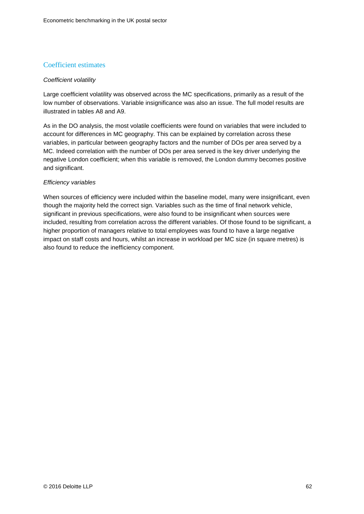#### Coefficient estimates

#### *Coefficient volatility*

Large coefficient volatility was observed across the MC specifications, primarily as a result of the low number of observations. Variable insignificance was also an issue. The full model results are illustrated in tables A8 and A9.

As in the DO analysis, the most volatile coefficients were found on variables that were included to account for differences in MC geography. This can be explained by correlation across these variables, in particular between geography factors and the number of DOs per area served by a MC. Indeed correlation with the number of DOs per area served is the key driver underlying the negative London coefficient; when this variable is removed, the London dummy becomes positive and significant.

#### *Efficiency variables*

When sources of efficiency were included within the baseline model, many were insignificant, even though the majority held the correct sign. Variables such as the time of final network vehicle, significant in previous specifications, were also found to be insignificant when sources were included, resulting from correlation across the different variables. Of those found to be significant, a higher proportion of managers relative to total employees was found to have a large negative impact on staff costs and hours, whilst an increase in workload per MC size (in square metres) is also found to reduce the inefficiency component.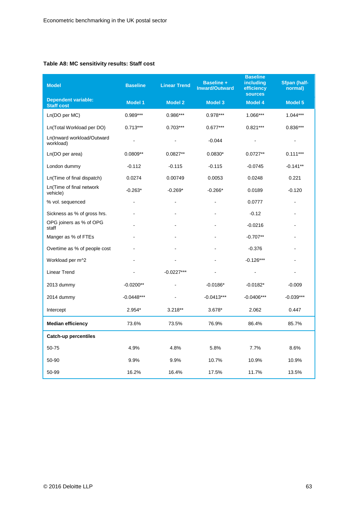#### **Table A8: MC sensitivity results: Staff cost**

| <b>Model</b>                                    | <b>Baseline</b> | <b>Linear Trend</b> | <b>Baseline +</b><br><b>Inward/Outward</b> | <b>Baseline</b><br>including<br>efficiency<br><b>sources</b> | <b>Sfpan (half-</b><br>normal) |
|-------------------------------------------------|-----------------|---------------------|--------------------------------------------|--------------------------------------------------------------|--------------------------------|
| <b>Dependent variable:</b><br><b>Staff cost</b> | <b>Model 1</b>  | <b>Model 2</b>      | <b>Model 3</b>                             | <b>Model 4</b>                                               | <b>Model 5</b>                 |
| Ln(DO per MC)                                   | $0.989***$      | 0.986***            | $0.978***$                                 | 1.066***                                                     | $1.044***$                     |
| Ln(Total Workload per DO)                       | $0.713***$      | $0.703***$          | $0.677***$                                 | $0.821***$                                                   | $0.836***$                     |
| Ln(Inward workload/Outward<br>workload)         |                 |                     | $-0.044$                                   |                                                              | $\overline{a}$                 |
| Ln(DO per area)                                 | $0.0809**$      | $0.0827**$          | $0.0830*$                                  | $0.0727**$                                                   | $0.111***$                     |
| London dummy                                    | $-0.112$        | $-0.115$            | $-0.115$                                   | $-0.0745$                                                    | $-0.141**$                     |
| Ln(Time of final dispatch)                      | 0.0274          | 0.00749             | 0.0053                                     | 0.0248                                                       | 0.221                          |
| Ln(Time of final network<br>vehicle)            | $-0.263*$       | $-0.269*$           | $-0.266*$                                  | 0.0189                                                       | $-0.120$                       |
| % vol. sequenced                                |                 |                     |                                            | 0.0777                                                       |                                |
| Sickness as % of gross hrs.                     |                 |                     |                                            | $-0.12$                                                      | $\blacksquare$                 |
| OPG joiners as % of OPG<br>staff                |                 |                     |                                            | $-0.0216$                                                    | $\blacksquare$                 |
| Manger as % of FTEs                             |                 |                     |                                            | $-0.707**$                                                   | $\blacksquare$                 |
| Overtime as % of people cost                    |                 |                     |                                            | $-0.376$                                                     |                                |
| Workload per m^2                                |                 |                     |                                            | $-0.126***$                                                  |                                |
| <b>Linear Trend</b>                             |                 | $-0.0227***$        |                                            | $\blacksquare$                                               | ä,                             |
| 2013 dummy                                      | $-0.0200**$     |                     | $-0.0186*$                                 | $-0.0182*$                                                   | $-0.009$                       |
| 2014 dummy                                      | $-0.0448***$    |                     | $-0.0413***$                               | $-0.0406***$                                                 | $-0.039***$                    |
| Intercept                                       | 2.954*          | $3.218**$           | $3.678*$                                   | 2.062                                                        | 0.447                          |
| <b>Median efficiency</b>                        | 73.6%           | 73.5%               | 76.9%                                      | 86.4%                                                        | 85.7%                          |
| Catch-up percentiles                            |                 |                     |                                            |                                                              |                                |
| 50-75                                           | 4.9%            | 4.8%                | 5.8%                                       | 7.7%                                                         | 8.6%                           |
| 50-90                                           | 9.9%            | 9.9%                | 10.7%                                      | 10.9%                                                        | 10.9%                          |
| 50-99                                           | 16.2%           | 16.4%               | 17.5%                                      | 11.7%                                                        | 13.5%                          |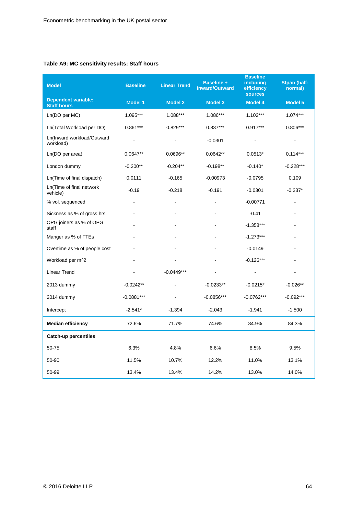#### **Table A9: MC sensitivity results: Staff hours**

| <b>Model</b>                                     | <b>Baseline</b> | <b>Linear Trend</b> | <b>Baseline +</b><br><b>Inward/Outward</b> | <b>Baseline</b><br>including<br>efficiency<br><b>sources</b> | <b>Sfpan (half-</b><br>normal) |
|--------------------------------------------------|-----------------|---------------------|--------------------------------------------|--------------------------------------------------------------|--------------------------------|
| <b>Dependent variable:</b><br><b>Staff hours</b> | <b>Model 1</b>  | <b>Model 2</b>      | <b>Model 3</b>                             | <b>Model 4</b>                                               | <b>Model 5</b>                 |
| Ln(DO per MC)                                    | 1.095***        | 1.088***            | 1.086***                                   | $1.102***$                                                   | $1.074***$                     |
| Ln(Total Workload per DO)                        | $0.861***$      | $0.829***$          | $0.837***$                                 | $0.917***$                                                   | $0.806***$                     |
| Ln(Inward workload/Outward<br>workload)          |                 |                     | $-0.0301$                                  |                                                              | $\overline{a}$                 |
| Ln(DO per area)                                  | $0.0647**$      | $0.0696**$          | $0.0642**$                                 | $0.0513*$                                                    | $0.114***$                     |
| London dummy                                     | $-0.200**$      | $-0.204**$          | $-0.198**$                                 | $-0.140*$                                                    | $-0.228***$                    |
| Ln(Time of final dispatch)                       | 0.0111          | $-0.165$            | $-0.00973$                                 | $-0.0795$                                                    | 0.109                          |
| Ln(Time of final network<br>vehicle)             | $-0.19$         | $-0.218$            | $-0.191$                                   | $-0.0301$                                                    | $-0.237*$                      |
| % vol. sequenced                                 |                 |                     |                                            | $-0.00771$                                                   |                                |
| Sickness as % of gross hrs.                      |                 |                     |                                            | $-0.41$                                                      | $\sim$                         |
| OPG joiners as % of OPG<br>staff                 |                 |                     |                                            | $-1.358***$                                                  | $\sim$                         |
| Manger as % of FTEs                              |                 |                     |                                            | $-1.273***$                                                  |                                |
| Overtime as % of people cost                     |                 |                     |                                            | $-0.0149$                                                    |                                |
| Workload per m^2                                 |                 |                     |                                            | $-0.126***$                                                  |                                |
| <b>Linear Trend</b>                              |                 | $-0.0449***$        |                                            | $\blacksquare$                                               | $\blacksquare$                 |
| 2013 dummy                                       | $-0.0242**$     |                     | $-0.0233**$                                | $-0.0215*$                                                   | $-0.026**$                     |
| 2014 dummy                                       | $-0.0881***$    |                     | $-0.0856***$                               | $-0.0762***$                                                 | $-0.092***$                    |
| Intercept                                        | $-2.541*$       | $-1.394$            | $-2.043$                                   | $-1.941$                                                     | $-1.500$                       |
| <b>Median efficiency</b>                         | 72.6%           | 71.7%               | 74.6%                                      | 84.9%                                                        | 84.3%                          |
| Catch-up percentiles                             |                 |                     |                                            |                                                              |                                |
| $50 - 75$                                        | 6.3%            | 4.8%                | 6.6%                                       | 8.5%                                                         | 9.5%                           |
| 50-90                                            | 11.5%           | 10.7%               | 12.2%                                      | 11.0%                                                        | 13.1%                          |
| 50-99                                            | 13.4%           | 13.4%               | 14.2%                                      | 13.0%                                                        | 14.0%                          |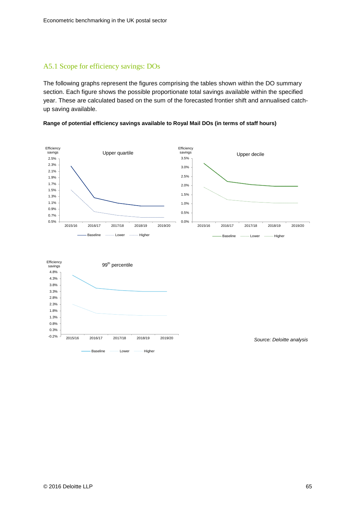#### A5.1 Scope for efficiency savings: DOs

The following graphs represent the figures comprising the tables shown within the DO summary section. Each figure shows the possible proportionate total savings available within the specified year. These are calculated based on the sum of the forecasted frontier shift and annualised catchup saving available.

#### **Range of potential efficiency savings available to Royal Mail DOs (in terms of staff hours)**





*Source: Deloitte analysis*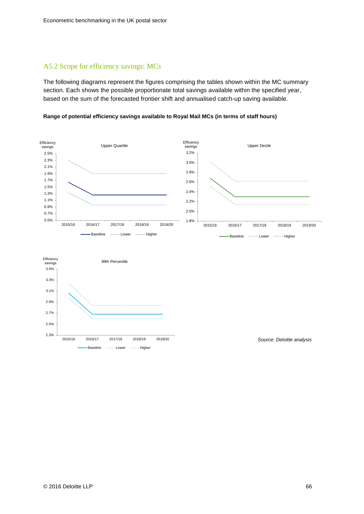#### A5.2 Scope for efficiency savings: MCs

The following diagrams represent the figures comprising the tables shown within the MC summary section. Each shows the possible proportionate total savings available within the specified year, based on the sum of the forecasted frontier shift and annualised catch-up saving available.

**Range of potential efficiency savings available to Royal Mail MCs (in terms of staff hours)**





*Source: Deloitte analysis*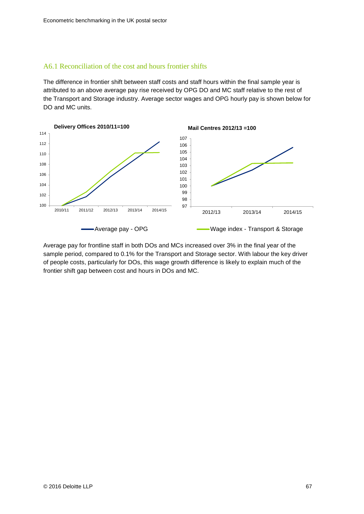#### A6.1 Reconciliation of the cost and hours frontier shifts

The difference in frontier shift between staff costs and staff hours within the final sample year is attributed to an above average pay rise received by OPG DO and MC staff relative to the rest of the Transport and Storage industry. Average sector wages and OPG hourly pay is shown below for DO and MC units.



Average pay for frontline staff in both DOs and MCs increased over 3% in the final year of the sample period, compared to 0.1% for the Transport and Storage sector. With labour the key driver of people costs, particularly for DOs, this wage growth difference is likely to explain much of the frontier shift gap between cost and hours in DOs and MC.